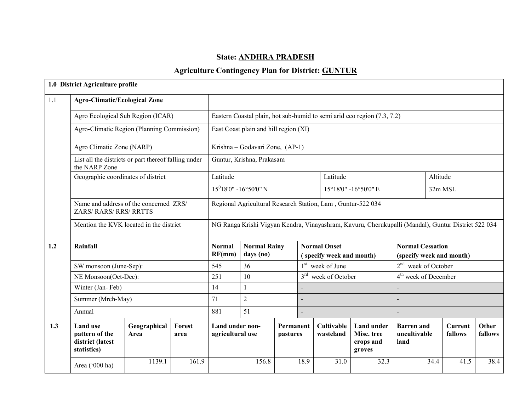# State: ANDHRA PRADESH

# Agriculture Contingency Plan for District: GUNTUR

|     | 1.0 District Agriculture profile                                      |                      |                       |                                                                                                    |                                                             |                       |                                    |                                                 |                                                        |                                                     |                    |                  |  |
|-----|-----------------------------------------------------------------------|----------------------|-----------------------|----------------------------------------------------------------------------------------------------|-------------------------------------------------------------|-----------------------|------------------------------------|-------------------------------------------------|--------------------------------------------------------|-----------------------------------------------------|--------------------|------------------|--|
| 1.1 | <b>Agro-Climatic/Ecological Zone</b>                                  |                      |                       |                                                                                                    |                                                             |                       |                                    |                                                 |                                                        |                                                     |                    |                  |  |
|     | Agro Ecological Sub Region (ICAR)                                     |                      |                       | Eastern Coastal plain, hot sub-humid to semi arid eco region (7.3, 7.2)                            |                                                             |                       |                                    |                                                 |                                                        |                                                     |                    |                  |  |
|     | Agro-Climatic Region (Planning Commission)                            |                      |                       | East Coast plain and hill region (XI)                                                              |                                                             |                       |                                    |                                                 |                                                        |                                                     |                    |                  |  |
|     | Agro Climatic Zone (NARP)                                             |                      |                       |                                                                                                    | Krishna - Godavari Zone, (AP-1)                             |                       |                                    |                                                 |                                                        |                                                     |                    |                  |  |
|     | List all the districts or part thereof falling under<br>the NARP Zone |                      |                       |                                                                                                    | Guntur, Krishna, Prakasam                                   |                       |                                    |                                                 |                                                        |                                                     |                    |                  |  |
|     | Geographic coordinates of district                                    |                      |                       | Latitude                                                                                           |                                                             |                       |                                    | Latitude                                        |                                                        |                                                     | Altitude           |                  |  |
|     |                                                                       |                      |                       |                                                                                                    | $15^018'0'' - 16^050'0''$ N                                 |                       |                                    |                                                 | 15°18'0" -16°50'0" E                                   |                                                     | 32m MSL            |                  |  |
|     | Name and address of the concerned ZRS/<br>ZARS/RARS/RRS/RRTTS         |                      |                       |                                                                                                    | Regional Agricultural Research Station, Lam, Guntur-522 034 |                       |                                    |                                                 |                                                        |                                                     |                    |                  |  |
|     | Mention the KVK located in the district                               |                      |                       | NG Ranga Krishi Vigyan Kendra, Vinayashram, Kavuru, Cherukupalli (Mandal), Guntur District 522 034 |                                                             |                       |                                    |                                                 |                                                        |                                                     |                    |                  |  |
| 1.2 | Rainfall                                                              |                      |                       | <b>Normal</b><br>RF(mm)                                                                            | <b>Normal Rainy</b><br>days (no)                            |                       |                                    | <b>Normal Onset</b><br>(specify week and month) |                                                        | <b>Normal Cessation</b><br>(specify week and month) |                    |                  |  |
|     | SW monsoon (June-Sep):                                                |                      |                       | 545                                                                                                | 36                                                          |                       |                                    | $1st$ week of June                              |                                                        | $2nd$ week of October                               |                    |                  |  |
|     | NE Monsoon(Oct-Dec):                                                  |                      |                       | 251                                                                                                | 10                                                          |                       | $3^{\text{rd}}$<br>week of October |                                                 |                                                        | 4 <sup>th</sup> week of December                    |                    |                  |  |
|     | Winter (Jan-Feb)                                                      |                      |                       | 14                                                                                                 | $\mathbf{1}$                                                |                       |                                    |                                                 |                                                        |                                                     |                    |                  |  |
|     | Summer (Mrch-May)                                                     |                      |                       | 71                                                                                                 | $\overline{2}$                                              |                       |                                    |                                                 |                                                        |                                                     |                    |                  |  |
|     | Annual                                                                |                      |                       | 881                                                                                                | 51                                                          |                       |                                    |                                                 |                                                        |                                                     |                    |                  |  |
| 1.3 | <b>Land use</b><br>pattern of the<br>district (latest<br>statistics)  | Geographical<br>Area | <b>Forest</b><br>area | Land under non-<br>agricultural use                                                                |                                                             | Permanent<br>pastures |                                    | <b>Cultivable</b><br>wasteland                  | <b>Land under</b><br>Misc. tree<br>crops and<br>groves | <b>Barren</b> and<br>uncultivable<br>land           | Current<br>fallows | Other<br>fallows |  |
|     | Area ('000 ha)                                                        | 1139.1               | 161.9                 |                                                                                                    | 156.8                                                       |                       | 18.9                               | 31.0                                            | 32.3                                                   | 34.4                                                | 41.5               | 38.4             |  |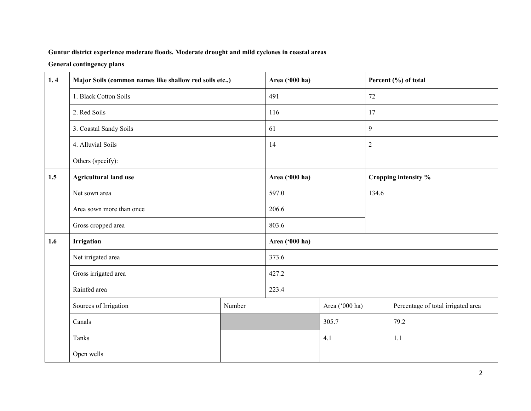### Guntur district experience moderate floods. Moderate drought and mild cyclones in coastal areas

### General contingency plans

| 1.4 | Major Soils (common names like shallow red soils etc.,) |        | Area ('000 ha) |                |                | Percent (%) of total               |  |
|-----|---------------------------------------------------------|--------|----------------|----------------|----------------|------------------------------------|--|
|     | 1. Black Cotton Soils                                   |        | 491            |                | 72             |                                    |  |
|     | 2. Red Soils                                            |        | 116            |                | 17             |                                    |  |
|     | 3. Coastal Sandy Soils                                  |        | 61             |                | 9              |                                    |  |
|     | 4. Alluvial Soils                                       |        | 14             |                | $\overline{2}$ |                                    |  |
|     | Others (specify):                                       |        |                |                |                |                                    |  |
| 1.5 | <b>Agricultural land use</b>                            |        | Area ('000 ha) |                |                | Cropping intensity %               |  |
|     | Net sown area                                           | 597.0  |                | 134.6          |                |                                    |  |
|     | Area sown more than once                                |        | 206.6          |                |                |                                    |  |
|     | Gross cropped area                                      |        | 803.6          |                |                |                                    |  |
| 1.6 | Irrigation                                              |        | Area ('000 ha) |                |                |                                    |  |
|     | Net irrigated area                                      |        | 373.6          |                |                |                                    |  |
|     | Gross irrigated area                                    |        | 427.2          |                |                |                                    |  |
|     | Rainfed area                                            |        | 223.4          |                |                |                                    |  |
|     | Sources of Irrigation                                   | Number |                | Area ('000 ha) |                | Percentage of total irrigated area |  |
|     | Canals                                                  |        |                | 305.7          |                | 79.2                               |  |
|     | Tanks                                                   |        |                | 4.1            |                | 1.1                                |  |
|     | Open wells                                              |        |                |                |                |                                    |  |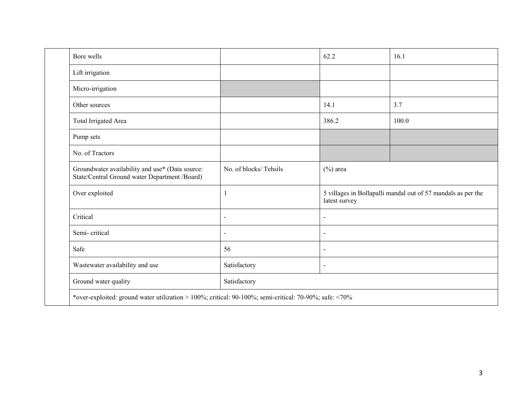| Bore wells                                                                                       |                       | 62.2                         | 16.1                                                         |
|--------------------------------------------------------------------------------------------------|-----------------------|------------------------------|--------------------------------------------------------------|
| Lift irrigation                                                                                  |                       |                              |                                                              |
| Micro-irrigation                                                                                 |                       |                              |                                                              |
| Other sources                                                                                    |                       | 14.1                         | 3.7                                                          |
| Total Irrigated Area                                                                             |                       | 386.2                        | 100.0                                                        |
| Pump sets                                                                                        |                       |                              |                                                              |
| No. of Tractors                                                                                  |                       |                              |                                                              |
| Groundwater availability and use* (Data source:<br>State/Central Ground water Department /Board) | No. of blocks/Tehsils | $(\%)$ area                  |                                                              |
| Over exploited                                                                                   |                       | latest survey                | 5 villages in Bollapalli mandal out of 57 mandals as per the |
| Critical                                                                                         | $\blacksquare$        | $\blacksquare$               |                                                              |
| Semi-critical                                                                                    | $\blacksquare$        | $\blacksquare$               |                                                              |
| Safe                                                                                             | 56                    | $\qquad \qquad \blacksquare$ |                                                              |
| Wastewater availability and use                                                                  | Satisfactory          | $\blacksquare$               |                                                              |
| Ground water quality                                                                             | Satisfactory          |                              |                                                              |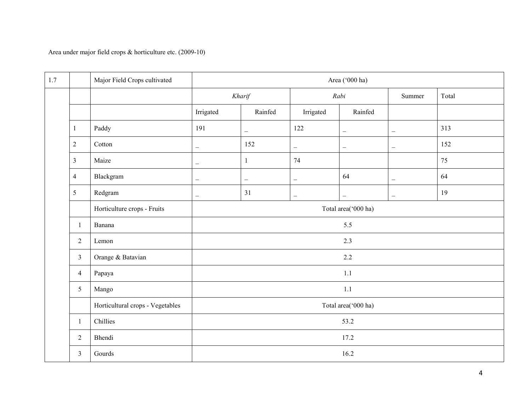Area under major field crops & horticulture etc. (2009-10)

| 1.7 |                | Major Field Crops cultivated     |                          | Area ('000 ha)           |                          |                          |                          |       |  |  |
|-----|----------------|----------------------------------|--------------------------|--------------------------|--------------------------|--------------------------|--------------------------|-------|--|--|
|     |                |                                  |                          | Kharif                   |                          | Rabi                     | Summer                   | Total |  |  |
|     |                |                                  | Irrigated<br>Rainfed     |                          | Irrigated                | Rainfed                  |                          |       |  |  |
|     | $\mathbf{1}$   | Paddy                            | 191                      | $\overline{\phantom{0}}$ | 122                      | $\overline{\phantom{m}}$ | $\overline{\phantom{m}}$ | 313   |  |  |
|     | $\overline{2}$ | Cotton                           | $\qquad \qquad -$        | 152                      | $\overline{\phantom{m}}$ | $\overline{\phantom{m}}$ | $\overline{\phantom{m}}$ | 152   |  |  |
|     | $\mathfrak{Z}$ | Maize                            | $\overline{\phantom{m}}$ | $\mathbf{1}$             | 74                       |                          |                          | 75    |  |  |
|     | $\overline{4}$ | Blackgram                        | $\qquad \qquad -$        | $\overline{\phantom{m}}$ | $\overline{\phantom{m}}$ | 64                       | $\overline{\phantom{m}}$ | 64    |  |  |
|     | 5              | Redgram                          | $\overline{\phantom{m}}$ | 31                       | $\overline{\phantom{a}}$ | $\overline{\phantom{a}}$ | $\overline{\phantom{m}}$ | 19    |  |  |
|     |                | Horticulture crops - Fruits      |                          |                          |                          | Total area('000 ha)      |                          |       |  |  |
|     | -1             | Banana                           |                          |                          |                          | 5.5                      |                          |       |  |  |
|     | $\overline{2}$ | Lemon                            |                          |                          |                          |                          |                          |       |  |  |
|     | $\mathfrak{Z}$ | Orange & Batavian                |                          |                          |                          | 2.2                      |                          |       |  |  |
|     | $\overline{4}$ | Papaya                           |                          |                          |                          | 1.1                      |                          |       |  |  |
|     | $\sqrt{5}$     | Mango                            |                          |                          |                          | 1.1                      |                          |       |  |  |
|     |                | Horticultural crops - Vegetables |                          |                          |                          | Total area('000 ha)      |                          |       |  |  |
|     | -1             | Chillies                         |                          |                          |                          | 53.2                     |                          |       |  |  |
|     | $\overline{2}$ | Bhendi                           |                          |                          |                          | 17.2                     |                          |       |  |  |
|     | $\overline{3}$ | Gourds                           |                          |                          |                          | 16.2                     |                          |       |  |  |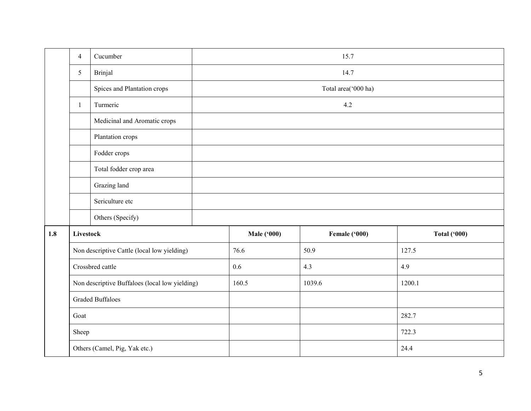|     | $\overline{4}$   | Cucumber                                       |  |                    | 15.7                |                     |  |  |  |  |  |
|-----|------------------|------------------------------------------------|--|--------------------|---------------------|---------------------|--|--|--|--|--|
|     | 5                | Brinjal                                        |  | 14.7               |                     |                     |  |  |  |  |  |
|     |                  | Spices and Plantation crops                    |  |                    | Total area('000 ha) |                     |  |  |  |  |  |
|     | 1                | Turmeric                                       |  |                    | 4.2                 |                     |  |  |  |  |  |
|     |                  | Medicinal and Aromatic crops                   |  |                    |                     |                     |  |  |  |  |  |
|     |                  | Plantation crops                               |  |                    |                     |                     |  |  |  |  |  |
|     |                  | Fodder crops                                   |  |                    |                     |                     |  |  |  |  |  |
|     |                  | Total fodder crop area                         |  |                    |                     |                     |  |  |  |  |  |
|     |                  | Grazing land                                   |  |                    |                     |                     |  |  |  |  |  |
|     |                  | Sericulture etc                                |  |                    |                     |                     |  |  |  |  |  |
|     |                  | Others (Specify)                               |  |                    |                     |                     |  |  |  |  |  |
| 1.8 | <b>Livestock</b> |                                                |  | <b>Male ('000)</b> | Female ('000)       | <b>Total ('000)</b> |  |  |  |  |  |
|     |                  | Non descriptive Cattle (local low yielding)    |  | 76.6               | 50.9                | 127.5               |  |  |  |  |  |
|     |                  | Crossbred cattle                               |  | 0.6                | 4.3                 | 4.9                 |  |  |  |  |  |
|     |                  | Non descriptive Buffaloes (local low yielding) |  | 160.5              | 1039.6              | 1200.1              |  |  |  |  |  |
|     |                  | <b>Graded Buffaloes</b>                        |  |                    |                     |                     |  |  |  |  |  |
|     | Goat             |                                                |  |                    |                     | 282.7               |  |  |  |  |  |
|     | Sheep            |                                                |  |                    |                     | 722.3               |  |  |  |  |  |
|     |                  | Others (Camel, Pig, Yak etc.)                  |  |                    |                     | 24.4                |  |  |  |  |  |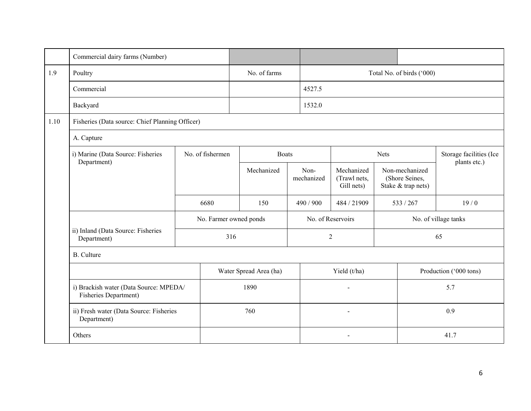|      | Commercial dairy farms (Number)                                 |                  |                        |                    |                |                                          |             |                                                        |                                         |
|------|-----------------------------------------------------------------|------------------|------------------------|--------------------|----------------|------------------------------------------|-------------|--------------------------------------------------------|-----------------------------------------|
| 1.9  | Poultry                                                         |                  | No. of farms           |                    |                |                                          |             | Total No. of birds ('000)                              |                                         |
|      | Commercial                                                      |                  |                        |                    | 4527.5         |                                          |             |                                                        |                                         |
|      | Backyard                                                        |                  |                        |                    | 1532.0         |                                          |             |                                                        |                                         |
| 1.10 | Fisheries (Data source: Chief Planning Officer)                 |                  |                        |                    |                |                                          |             |                                                        |                                         |
|      | A. Capture                                                      |                  |                        |                    |                |                                          |             |                                                        |                                         |
|      | i) Marine (Data Source: Fisheries<br>Department)                | No. of fishermen | <b>Boats</b>           |                    |                |                                          | <b>Nets</b> |                                                        | Storage facilities (Ice<br>plants etc.) |
|      |                                                                 |                  | Mechanized             | Non-<br>mechanized |                | Mechanized<br>(Trawl nets,<br>Gill nets) |             | Non-mechanized<br>(Shore Seines,<br>Stake & trap nets) |                                         |
|      |                                                                 | 6680             | 150                    | 490 / 900          |                | 484 / 21909                              | 533/267     |                                                        | 19/0                                    |
|      |                                                                 |                  | No. Farmer owned ponds |                    |                | No. of Reservoirs                        |             |                                                        | No. of village tanks                    |
|      | ii) Inland (Data Source: Fisheries<br>Department)               |                  | 316                    |                    | $\overline{2}$ |                                          |             |                                                        | 65                                      |
|      | <b>B.</b> Culture                                               |                  |                        |                    |                |                                          |             |                                                        |                                         |
|      |                                                                 |                  | Water Spread Area (ha) |                    | Yield (t/ha)   |                                          |             |                                                        | Production ('000 tons)                  |
|      | i) Brackish water (Data Source: MPEDA/<br>Fisheries Department) |                  | 1890                   |                    |                |                                          |             |                                                        | 5.7                                     |
|      | ii) Fresh water (Data Source: Fisheries<br>Department)          |                  | 760                    |                    |                | $\blacksquare$                           |             | 0.9                                                    |                                         |
|      | Others                                                          |                  |                        |                    |                |                                          |             |                                                        | 41.7                                    |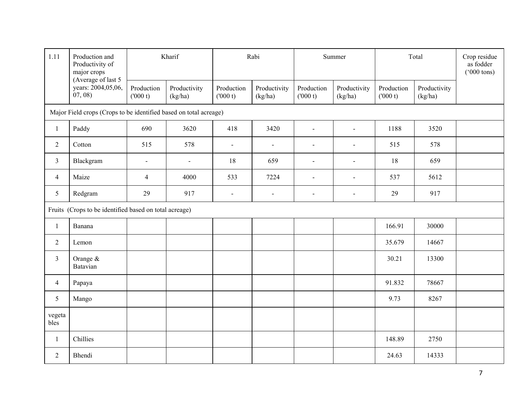| 1.11           | Production and<br>Productivity of<br>major crops<br>(Average of last 5 | Kharif                |                         |                       | Rabi                    |                       | Summer                  |                       | Total                   |  |
|----------------|------------------------------------------------------------------------|-----------------------|-------------------------|-----------------------|-------------------------|-----------------------|-------------------------|-----------------------|-------------------------|--|
|                | years: 2004,05,06,<br>(07, 08)                                         | Production<br>(000 t) | Productivity<br>(kg/ha) | Production<br>(000 t) | Productivity<br>(kg/ha) | Production<br>(000 t) | Productivity<br>(kg/ha) | Production<br>(000 t) | Productivity<br>(kg/ha) |  |
|                | Major Field crops (Crops to be identified based on total acreage)      |                       |                         |                       |                         |                       |                         |                       |                         |  |
| $\mathbf{1}$   | Paddy                                                                  | 690                   | 3620                    | 418                   | 3420                    | $\sim$                | $\blacksquare$          | 1188                  | 3520                    |  |
| $\overline{2}$ | Cotton                                                                 | 515                   | 578                     | $\blacksquare$        | $\overline{a}$          | $\blacksquare$        | $\blacksquare$          | 515                   | 578                     |  |
| $\overline{3}$ | Blackgram                                                              | $\blacksquare$        | $\blacksquare$          | 18                    | 659                     | $\blacksquare$        | $\blacksquare$          | 18                    | 659                     |  |
| $\overline{4}$ | Maize                                                                  | $\overline{4}$        | 4000                    | 533                   | 7224                    | $\blacksquare$        | $\blacksquare$          | 537                   | 5612                    |  |
| 5              | Redgram                                                                | 29                    | 917                     | $\blacksquare$        | $\blacksquare$          | $\sim$                | $\sim$                  | 29                    | 917                     |  |
|                | Fruits (Crops to be identified based on total acreage)                 |                       |                         |                       |                         |                       |                         |                       |                         |  |
| $\mathbf{1}$   | Banana                                                                 |                       |                         |                       |                         |                       |                         | 166.91                | 30000                   |  |
| $\overline{2}$ | Lemon                                                                  |                       |                         |                       |                         |                       |                         | 35.679                | 14667                   |  |
| $\overline{3}$ | Orange &<br>Batavian                                                   |                       |                         |                       |                         |                       |                         | 30.21                 | 13300                   |  |
| 4              | Papaya                                                                 |                       |                         |                       |                         |                       |                         | 91.832                | 78667                   |  |
| 5              | Mango                                                                  |                       |                         |                       |                         |                       |                         | 9.73                  | 8267                    |  |
| vegeta<br>bles |                                                                        |                       |                         |                       |                         |                       |                         |                       |                         |  |
| $\mathbf{1}$   | Chillies                                                               |                       |                         |                       |                         |                       |                         | 148.89                | 2750                    |  |
| $\overline{2}$ | Bhendi                                                                 |                       |                         |                       |                         |                       |                         | 24.63                 | 14333                   |  |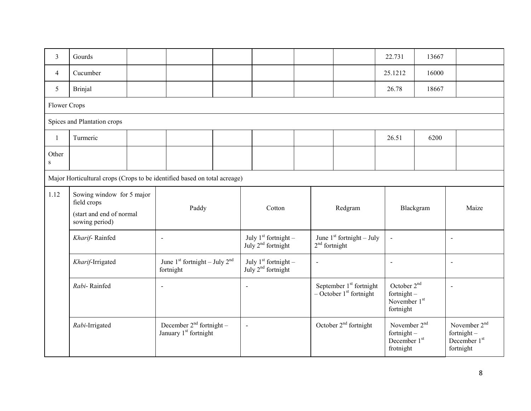| 3                  | Gourds                                                                                 |                                                                    |                          |                                                |                 |                                                                    | 22.731                                                                             | 13667     |                                                                                    |
|--------------------|----------------------------------------------------------------------------------------|--------------------------------------------------------------------|--------------------------|------------------------------------------------|-----------------|--------------------------------------------------------------------|------------------------------------------------------------------------------------|-----------|------------------------------------------------------------------------------------|
| 4                  | Cucumber                                                                               |                                                                    |                          |                                                |                 |                                                                    | 25.1212                                                                            | 16000     |                                                                                    |
| 5                  | <b>Brinjal</b>                                                                         |                                                                    |                          |                                                |                 |                                                                    | 26.78                                                                              | 18667     |                                                                                    |
| Flower Crops       |                                                                                        |                                                                    |                          |                                                |                 |                                                                    |                                                                                    |           |                                                                                    |
|                    | Spices and Plantation crops                                                            |                                                                    |                          |                                                |                 |                                                                    |                                                                                    |           |                                                                                    |
| $\mathbf{1}$       | Turmeric                                                                               |                                                                    |                          |                                                |                 |                                                                    | 26.51                                                                              | 6200      |                                                                                    |
| Other<br>${\bf S}$ |                                                                                        |                                                                    |                          |                                                |                 |                                                                    |                                                                                    |           |                                                                                    |
|                    | Major Horticultural crops (Crops to be identified based on total acreage)              |                                                                    |                          |                                                |                 |                                                                    |                                                                                    |           |                                                                                    |
| 1.12               | Sowing window for 5 major<br>field crops<br>(start and end of normal<br>sowing period) | Paddy                                                              |                          | Cotton                                         |                 | Redgram                                                            |                                                                                    | Blackgram | Maize                                                                              |
|                    | Kharif-Rainfed                                                                         | $\blacksquare$                                                     |                          | July $1st$ fortnight –<br>July $2nd$ fortnight | $2nd$ fortnight | June $1st$ fortnight – July                                        | $\blacksquare$                                                                     |           | $\overline{a}$                                                                     |
|                    | Kharif-Irrigated                                                                       | June 1 <sup>st</sup> fortnight - July $2nd$<br>fortnight           |                          | July $1st$ fortnight –<br>July $2nd$ fortnight | $\blacksquare$  |                                                                    | $\blacksquare$                                                                     |           | $\blacksquare$                                                                     |
|                    | Rabi-Rainfed                                                                           | $\overline{\phantom{a}}$                                           | $\overline{\phantom{a}}$ |                                                |                 | September $1st$ fortnight<br>$-$ October 1 <sup>st</sup> fortnight | October 2 <sup>nd</sup><br>fortnight $-$<br>November $1st$<br>fortnight            |           |                                                                                    |
|                    | Rabi-Irrigated                                                                         | December $2^{nd}$ fortnight –<br>January 1 <sup>st</sup> fortnight | $\overline{\phantom{a}}$ |                                                |                 | October $2nd$ fortnight                                            | November 2 <sup>nd</sup><br>fortnight $-$<br>December 1 <sup>st</sup><br>frotnight |           | November 2 <sup>nd</sup><br>fortnight $-$<br>December 1 <sup>st</sup><br>fortnight |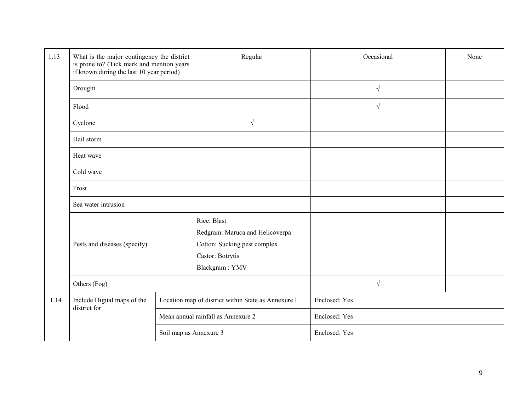| 1.13 | What is the major contingency the district<br>is prone to? (Tick mark and mention years<br>if known during the last 10 year period) |                        | Regular                                                                                                              | Occasional    | None |
|------|-------------------------------------------------------------------------------------------------------------------------------------|------------------------|----------------------------------------------------------------------------------------------------------------------|---------------|------|
|      | Drought                                                                                                                             |                        |                                                                                                                      | $\sqrt{}$     |      |
|      | Flood                                                                                                                               |                        |                                                                                                                      | $\sqrt{}$     |      |
|      | Cyclone                                                                                                                             |                        | $\sqrt{ }$                                                                                                           |               |      |
|      | Hail storm                                                                                                                          |                        |                                                                                                                      |               |      |
|      | Heat wave                                                                                                                           |                        |                                                                                                                      |               |      |
|      | Cold wave                                                                                                                           |                        |                                                                                                                      |               |      |
|      | Frost                                                                                                                               |                        |                                                                                                                      |               |      |
|      | Sea water intrusion                                                                                                                 |                        |                                                                                                                      |               |      |
|      | Pests and diseases (specify)                                                                                                        |                        | Rice: Blast<br>Redgram: Maruca and Helicoverpa<br>Cotton: Sucking pest complex<br>Castor: Botrytis<br>Blackgram: YMV |               |      |
|      | Others (Fog)<br>Include Digital maps of the<br>district for                                                                         |                        |                                                                                                                      | $\sqrt{ }$    |      |
| 1.14 |                                                                                                                                     |                        | Location map of district within State as Annexure I                                                                  | Enclosed: Yes |      |
|      |                                                                                                                                     |                        | Mean annual rainfall as Annexure 2                                                                                   | Enclosed: Yes |      |
|      |                                                                                                                                     | Soil map as Annexure 3 |                                                                                                                      | Enclosed: Yes |      |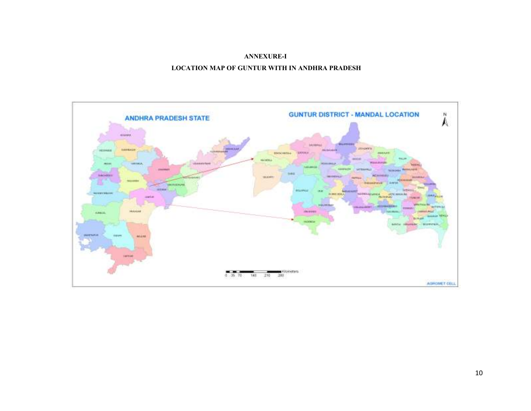### ANNEXURE-I

## LOCATION MAP OF GUNTUR WITH IN ANDHRA PRADESH

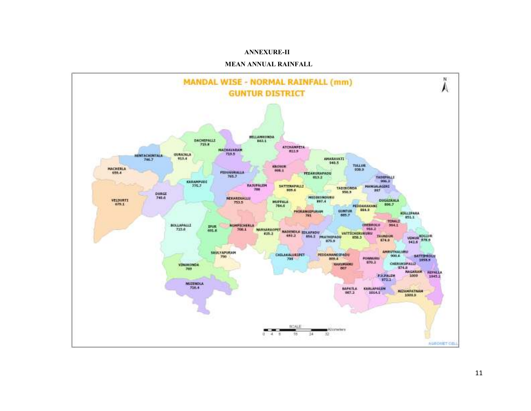#### ANNEXURE-II

#### MEAN ANNUAL RAINFALL

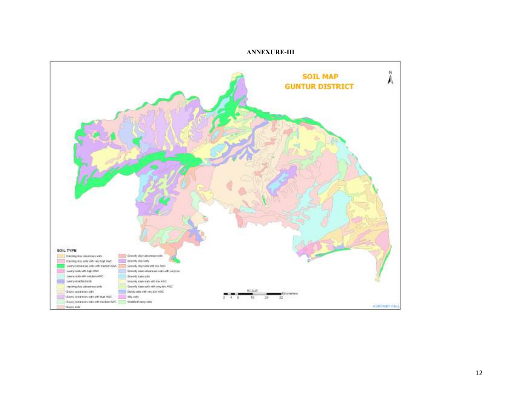

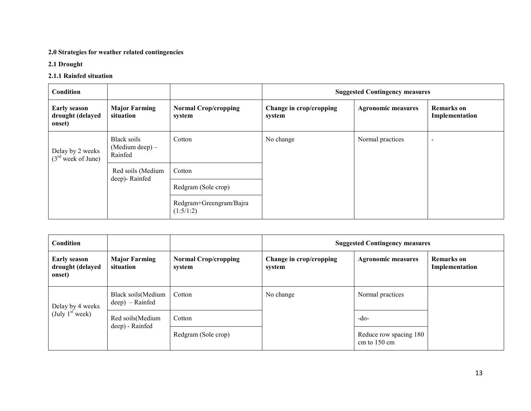## 2.0 Strategies for weather related contingencies

# 2.1 Drought

# 2.1.1 Rainfed situation

| Condition                                         |                                           |                                       | <b>Suggested Contingency measures</b> |                           |                                     |  |  |  |  |
|---------------------------------------------------|-------------------------------------------|---------------------------------------|---------------------------------------|---------------------------|-------------------------------------|--|--|--|--|
| <b>Early season</b><br>drought (delayed<br>onset) | <b>Major Farming</b><br>situation         | <b>Normal Crop/cropping</b><br>system | Change in crop/cropping<br>system     | <b>Agronomic measures</b> | <b>Remarks</b> on<br>Implementation |  |  |  |  |
| Delay by 2 weeks<br>$(3rd$ week of June)          | Black soils<br>(Medium deep) –<br>Rainfed | Cotton                                | No change                             | Normal practices          |                                     |  |  |  |  |
|                                                   | Red soils (Medium<br>deep)-Rainfed        | Cotton                                |                                       |                           |                                     |  |  |  |  |
|                                                   |                                           | Redgram (Sole crop)                   |                                       |                           |                                     |  |  |  |  |
|                                                   |                                           | Redgram+Greengram/Bajra<br>(1:5/1:2)  |                                       |                           |                                     |  |  |  |  |

| Condition                                         |                                          |                                       |                                   | <b>Suggested Contingency measures</b>            |                                     |
|---------------------------------------------------|------------------------------------------|---------------------------------------|-----------------------------------|--------------------------------------------------|-------------------------------------|
| <b>Early season</b><br>drought (delayed<br>onset) | <b>Major Farming</b><br>situation        | <b>Normal Crop/cropping</b><br>system | Change in crop/cropping<br>system | <b>Agronomic measures</b>                        | <b>Remarks</b> on<br>Implementation |
| Delay by 4 weeks                                  | Black soils (Medium<br>$deep)$ – Rainfed | Cotton                                | No change                         | Normal practices                                 |                                     |
| (July 1 <sup>st</sup> week)                       | Red soils (Medium                        | Cotton                                |                                   | $-do-$                                           |                                     |
|                                                   | deep) - Rainfed                          | Redgram (Sole crop)                   |                                   | Reduce row spacing 180<br>cm to $150 \text{ cm}$ |                                     |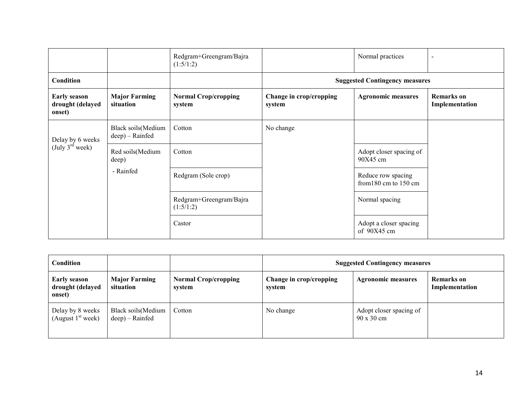|                                                   |                                        | Redgram+Greengram/Bajra<br>(1:5/1:2)  |                                             | Normal practices                      |                                     |
|---------------------------------------------------|----------------------------------------|---------------------------------------|---------------------------------------------|---------------------------------------|-------------------------------------|
| Condition                                         |                                        |                                       |                                             | <b>Suggested Contingency measures</b> |                                     |
| <b>Early season</b><br>drought (delayed<br>onset) | <b>Major Farming</b><br>situation      | <b>Normal Crop/cropping</b><br>system | Change in crop/cropping<br>system           | <b>Agronomic measures</b>             | <b>Remarks</b> on<br>Implementation |
| Delay by 6 weeks                                  | Black soils (Medium<br>deep) – Rainfed | Cotton                                | No change                                   |                                       |                                     |
| $(\text{July } 3^{\text{rd}} \text{ week})$       | Red soils(Medium<br>deep)              | Cotton                                |                                             | Adopt closer spacing of<br>$90X45$ cm |                                     |
|                                                   | - Rainfed<br>Redgram (Sole crop)       |                                       | Reduce row spacing<br>from 180 cm to 150 cm |                                       |                                     |
|                                                   |                                        | Redgram+Greengram/Bajra<br>(1:5/1:2)  |                                             | Normal spacing                        |                                     |
|                                                   |                                        | Castor                                |                                             | Adopt a closer spacing<br>of 90X45 cm |                                     |

| <b>Condition</b>                                  |                                          |                                       | <b>Suggested Contingency measures</b> |                                              |                              |  |
|---------------------------------------------------|------------------------------------------|---------------------------------------|---------------------------------------|----------------------------------------------|------------------------------|--|
| <b>Early season</b><br>drought (delayed<br>onset) | <b>Major Farming</b><br>situation        | <b>Normal Crop/cropping</b><br>system | Change in crop/cropping<br>system     | <b>Agronomic measures</b>                    | Remarks on<br>Implementation |  |
| Delay by 8 weeks<br>(August $1st$ week)           | Black soils (Medium<br>$deep) - Rainfed$ | Cotton                                | No change                             | Adopt closer spacing of<br>$90 \times 30$ cm |                              |  |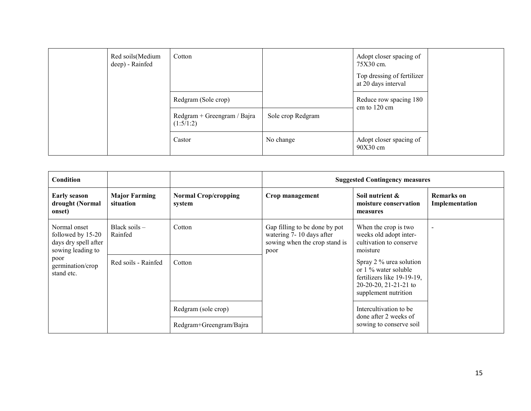| Red soils (Medium<br>deep) - Rainfed | Cotton                                   |                   | Adopt closer spacing of<br>75X30 cm.<br>Top dressing of fertilizer<br>at 20 days interval |  |
|--------------------------------------|------------------------------------------|-------------------|-------------------------------------------------------------------------------------------|--|
|                                      | Redgram (Sole crop)                      |                   | Reduce row spacing 180<br>cm to $120 \text{ cm}$                                          |  |
|                                      | Redgram + Greengram / Bajra<br>(1:5/1:2) | Sole crop Redgram |                                                                                           |  |
|                                      | Castor                                   | No change         | Adopt closer spacing of<br>90X30 cm                                                       |  |

| Condition                                                                                                                |                                   |                                                |                                                                                                    | <b>Suggested Contingency measures</b>                                                                                             |                                     |
|--------------------------------------------------------------------------------------------------------------------------|-----------------------------------|------------------------------------------------|----------------------------------------------------------------------------------------------------|-----------------------------------------------------------------------------------------------------------------------------------|-------------------------------------|
| <b>Early season</b><br>drought (Normal<br>onset)                                                                         | <b>Major Farming</b><br>situation | <b>Normal Crop/cropping</b><br>system          | Crop management                                                                                    | Soil nutrient &<br>moisture conservation<br>measures                                                                              | <b>Remarks</b> on<br>Implementation |
| Normal onset<br>followed by 15-20<br>days dry spell after<br>sowing leading to<br>poor<br>germination/crop<br>stand etc. | Black soils $-$<br>Rainfed        | Cotton                                         | Gap filling to be done by pot<br>watering 7-10 days after<br>sowing when the crop stand is<br>poor | When the crop is two<br>weeks old adopt inter-<br>cultivation to conserve<br>moisture                                             | $\overline{\phantom{0}}$            |
|                                                                                                                          | Red soils - Rainfed               | Cotton                                         |                                                                                                    | Spray 2 % urea solution<br>or 1 % water soluble<br>fertilizers like 19-19-19,<br>$20-20-20$ , 21-21-21 to<br>supplement nutrition |                                     |
|                                                                                                                          |                                   | Redgram (sole crop)<br>Redgram+Greengram/Bajra |                                                                                                    | Intercultivation to be.<br>done after 2 weeks of<br>sowing to conserve soil                                                       |                                     |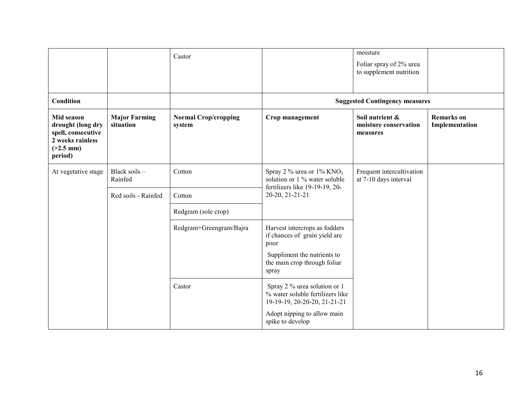|                                                                                                     |                                                  | Castor                                |                                                                                                                                       | moisture<br>Foliar spray of 2% urea<br>to supplement nutrition |                                     |
|-----------------------------------------------------------------------------------------------------|--------------------------------------------------|---------------------------------------|---------------------------------------------------------------------------------------------------------------------------------------|----------------------------------------------------------------|-------------------------------------|
| Condition                                                                                           |                                                  |                                       |                                                                                                                                       | <b>Suggested Contingency measures</b>                          |                                     |
| Mid season<br>drought (long dry<br>spell, consecutive<br>2 weeks rainless<br>$(>2.5$ mm)<br>period) | <b>Major Farming</b><br>situation                | <b>Normal Crop/cropping</b><br>system | Crop management                                                                                                                       | Soil nutrient &<br>moisture conservation<br>measures           | <b>Remarks</b> on<br>Implementation |
| At vegetative stage                                                                                 | Black soils -<br>Rainfed                         | Cotton                                | Spray 2 % urea or $1\%$ KNO <sub>3</sub><br>solution or 1 % water soluble<br>fertilizers like 19-19-19, 20-                           | Frequent intercultivation<br>at 7-10 days interval             |                                     |
|                                                                                                     | 20-20, 21-21-21<br>Red soils - Rainfed<br>Cotton |                                       |                                                                                                                                       |                                                                |                                     |
|                                                                                                     |                                                  | Redgram (sole crop)                   |                                                                                                                                       |                                                                |                                     |
|                                                                                                     |                                                  | Redgram+Greengram/Bajra               | Harvest intercrops as fodders<br>if chances of grain yield are<br>poor<br>Suppliment the nutrients to<br>the main crop through foliar |                                                                |                                     |
|                                                                                                     |                                                  |                                       | spray                                                                                                                                 |                                                                |                                     |
|                                                                                                     |                                                  | Castor                                | Spray 2 % urea solution or 1<br>% water soluble fertilizers like<br>19-19-19, 20-20-20, 21-21-21                                      |                                                                |                                     |
|                                                                                                     |                                                  |                                       | Adopt nipping to allow main<br>spike to develop                                                                                       |                                                                |                                     |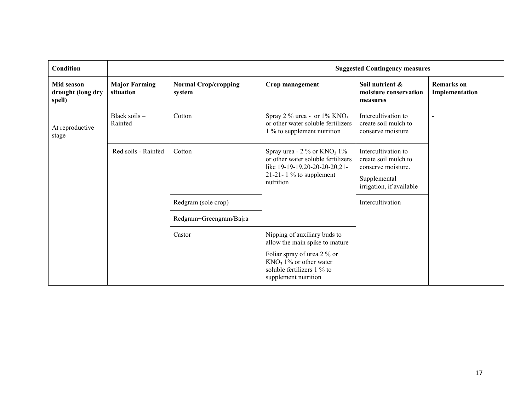| Condition                                 |                                   |                                       | <b>Suggested Contingency measures</b>                                                                                                                       |                                                                                                               |                                     |  |
|-------------------------------------------|-----------------------------------|---------------------------------------|-------------------------------------------------------------------------------------------------------------------------------------------------------------|---------------------------------------------------------------------------------------------------------------|-------------------------------------|--|
| Mid season<br>drought (long dry<br>spell) | <b>Major Farming</b><br>situation | <b>Normal Crop/cropping</b><br>system | Crop management                                                                                                                                             | Soil nutrient &<br>moisture conservation<br>measures                                                          | <b>Remarks</b> on<br>Implementation |  |
| At reproductive<br>stage                  | Black soils -<br>Rainfed          | Cotton                                | Spray 2 % urea - or $1\%$ KNO <sub>3</sub><br>or other water soluble fertilizers<br>1 % to supplement nutrition                                             | Intercultivation to<br>create soil mulch to<br>conserve moisture                                              |                                     |  |
|                                           | Red soils - Rainfed               | Cotton                                | Spray urea - $2\%$ or KNO <sub>3</sub> 1%<br>or other water soluble fertilizers<br>like 19-19-19,20-20-20-20,21-<br>21-21-1 $\%$ to supplement<br>nutrition | Intercultivation to<br>create soil mulch to<br>conserve moisture.<br>Supplemental<br>irrigation, if available |                                     |  |
|                                           |                                   | Redgram (sole crop)                   |                                                                                                                                                             | Intercultivation                                                                                              |                                     |  |
|                                           |                                   | Redgram+Greengram/Bajra               |                                                                                                                                                             |                                                                                                               |                                     |  |
|                                           |                                   | Castor                                | Nipping of auxiliary buds to<br>allow the main spike to mature                                                                                              |                                                                                                               |                                     |  |
|                                           |                                   |                                       | Foliar spray of urea 2 % or<br>$KNO3 1%$ or other water<br>soluble fertilizers 1 % to<br>supplement nutrition                                               |                                                                                                               |                                     |  |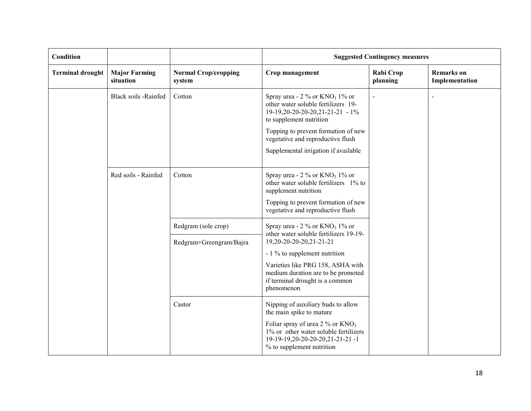| Condition               |                                                                                                                                                                                                                                                                                                  |                                                | <b>Suggested Contingency measures</b>                                                                                                                                                                                                                                          |                       |                                     |
|-------------------------|--------------------------------------------------------------------------------------------------------------------------------------------------------------------------------------------------------------------------------------------------------------------------------------------------|------------------------------------------------|--------------------------------------------------------------------------------------------------------------------------------------------------------------------------------------------------------------------------------------------------------------------------------|-----------------------|-------------------------------------|
| <b>Terminal drought</b> | <b>Major Farming</b><br>situation                                                                                                                                                                                                                                                                | <b>Normal Crop/cropping</b><br>system          | Crop management                                                                                                                                                                                                                                                                | Rabi Crop<br>planning | <b>Remarks</b> on<br>Implementation |
|                         | Black soils -Rainfed<br>Spray urea - $2\%$ or $KNO_3$ 1% or<br>Cotton<br>other water soluble fertilizers 19-<br>19-19, 20-20-20-20, 21-21-21 - 1%<br>to supplement nutrition<br>Topping to prevent formation of new<br>vegetative and reproductive flush<br>Supplemental irrigation if available |                                                |                                                                                                                                                                                                                                                                                |                       |                                     |
|                         | Red soils - Rainfed                                                                                                                                                                                                                                                                              | Cotton                                         | Spray urea - $2\%$ or KNO <sub>3</sub> 1% or<br>other water soluble fertilizers 1% to<br>supplement nutrition<br>Topping to prevent formation of new<br>vegetative and reproductive flush                                                                                      |                       |                                     |
|                         |                                                                                                                                                                                                                                                                                                  | Redgram (sole crop)<br>Redgram+Greengram/Bajra | Spray urea - $2\%$ or KNO <sub>3</sub> 1% or<br>other water soluble fertilizers 19-19-<br>19,20-20-20-20,21-21-21<br>- 1 % to supplement nutrition<br>Varieties like PRG 158, ASHA with<br>medium duration are to be promoted<br>if terminal drought is a common<br>phenomenon |                       |                                     |
|                         |                                                                                                                                                                                                                                                                                                  | Castor                                         | Nipping of auxiliary buds to allow<br>the main spike to mature<br>Foliar spray of urea $2\%$ or KNO <sub>3</sub><br>1% or other water soluble fertilizers<br>19-19-19, 20-20-20-20, 21-21-21-1<br>% to supplement nutrition                                                    |                       |                                     |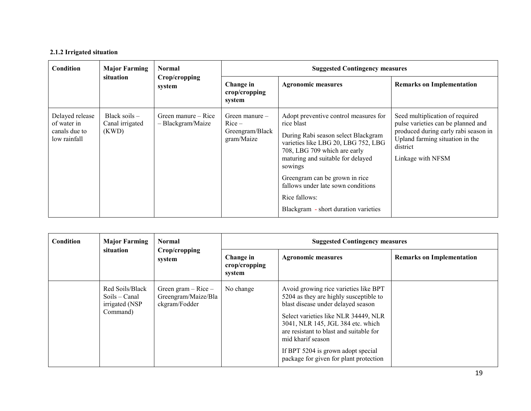## 2.1.2 Irrigated situation

| Condition                                                       | <b>Major Farming</b>                        | <b>Normal</b>                            | <b>Suggested Contingency measures</b>                         |                                                                                                                                                                                                                                                                                                                                                    |                                                                                                                                                                                   |  |  |
|-----------------------------------------------------------------|---------------------------------------------|------------------------------------------|---------------------------------------------------------------|----------------------------------------------------------------------------------------------------------------------------------------------------------------------------------------------------------------------------------------------------------------------------------------------------------------------------------------------------|-----------------------------------------------------------------------------------------------------------------------------------------------------------------------------------|--|--|
|                                                                 | situation                                   | Crop/cropping<br>system                  | Change in<br>crop/cropping<br>system                          | <b>Agronomic measures</b>                                                                                                                                                                                                                                                                                                                          | <b>Remarks on Implementation</b>                                                                                                                                                  |  |  |
| Delayed release<br>of water in<br>canals due to<br>low rainfall | Black soils $-$<br>Canal irrigated<br>(KWD) | Green manure – Rice<br>- Blackgram/Maize | Green manure $-$<br>$Rice -$<br>Greengram/Black<br>gram/Maize | Adopt preventive control measures for<br>rice blast<br>During Rabi season select Blackgram<br>varieties like LBG 20, LBG 752, LBG<br>708, LBG 709 which are early<br>maturing and suitable for delayed<br>sowings<br>Greengram can be grown in rice<br>fallows under late sown conditions<br>Rice fallows:<br>Blackgram - short duration varieties | Seed multiplication of required<br>pulse varieties can be planned and<br>produced during early rabi season in<br>Upland farming situation in the<br>district<br>Linkage with NFSM |  |  |

| Condition | <b>Major Farming</b>                                           | <b>Normal</b><br>Crop/cropping<br>system                        | <b>Suggested Contingency measures</b>            |                                                                                                                                                                                                                                                                                                                                                    |                                  |  |
|-----------|----------------------------------------------------------------|-----------------------------------------------------------------|--------------------------------------------------|----------------------------------------------------------------------------------------------------------------------------------------------------------------------------------------------------------------------------------------------------------------------------------------------------------------------------------------------------|----------------------------------|--|
|           | situation                                                      |                                                                 | Change in<br>$\mathbf{crop/c}$ ropping<br>system | <b>Agronomic measures</b>                                                                                                                                                                                                                                                                                                                          | <b>Remarks on Implementation</b> |  |
|           | Red Soils/Black<br>Soils – Canal<br>irrigated (NSP<br>Command) | Green gram $-$ Rice $-$<br>Greengram/Maize/Bla<br>ckgram/Fodder | No change                                        | Avoid growing rice varieties like BPT<br>5204 as they are highly susceptible to<br>blast disease under delayed season<br>Select varieties like NLR 34449, NLR<br>3041, NLR 145, JGL 384 etc. which<br>are resistant to blast and suitable for<br>mid kharif season<br>If BPT 5204 is grown adopt special<br>package for given for plant protection |                                  |  |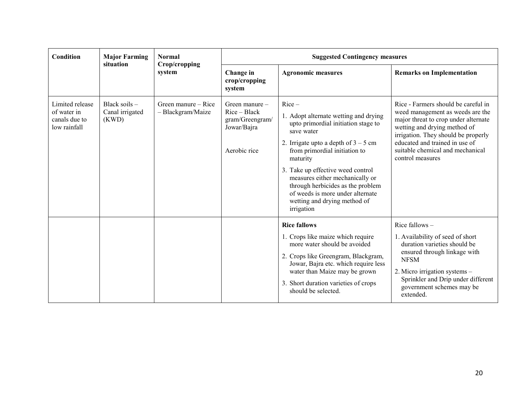| Condition                                                       | <b>Major Farming</b><br>situation           | <b>Normal</b>                            | <b>Suggested Contingency measures</b>                                                |                                                                                                                                                                                                                                                                                                                                                                                             |                                                                                                                                                                                                                                                                                  |  |  |
|-----------------------------------------------------------------|---------------------------------------------|------------------------------------------|--------------------------------------------------------------------------------------|---------------------------------------------------------------------------------------------------------------------------------------------------------------------------------------------------------------------------------------------------------------------------------------------------------------------------------------------------------------------------------------------|----------------------------------------------------------------------------------------------------------------------------------------------------------------------------------------------------------------------------------------------------------------------------------|--|--|
| system                                                          | Crop/cropping                               | Change in<br>crop/cropping<br>system     | <b>Agronomic measures</b>                                                            | <b>Remarks on Implementation</b>                                                                                                                                                                                                                                                                                                                                                            |                                                                                                                                                                                                                                                                                  |  |  |
| Limited release<br>of water in<br>canals due to<br>low rainfall | Black soils $-$<br>Canal irrigated<br>(KWD) | Green manure – Rice<br>- Blackgram/Maize | Green manure $-$<br>$Rice - Black$<br>gram/Greengram/<br>Jowar/Bajra<br>Aerobic rice | $Rice-$<br>1. Adopt alternate wetting and drying<br>upto primordial initiation stage to<br>save water<br>2. Irrigate upto a depth of $3 - 5$ cm<br>from primordial initiation to<br>maturity<br>3. Take up effective weed control<br>measures either mechanically or<br>through herbicides as the problem<br>of weeds is more under alternate<br>wetting and drying method of<br>irrigation | Rice - Farmers should be careful in<br>weed management as weeds are the<br>major threat to crop under alternate<br>wetting and drying method of<br>irrigation. They should be properly<br>educated and trained in use of<br>suitable chemical and mechanical<br>control measures |  |  |
|                                                                 |                                             |                                          |                                                                                      | <b>Rice fallows</b><br>1. Crops like maize which require<br>more water should be avoided<br>2. Crops like Greengram, Blackgram,<br>Jowar, Bajra etc. which require less<br>water than Maize may be grown<br>3. Short duration varieties of crops<br>should be selected.                                                                                                                     | Rice fallows $-$<br>1. Availability of seed of short<br>duration varieties should be<br>ensured through linkage with<br><b>NFSM</b><br>2. Micro irrigation systems -<br>Sprinkler and Drip under different<br>government schemes may be<br>extended.                             |  |  |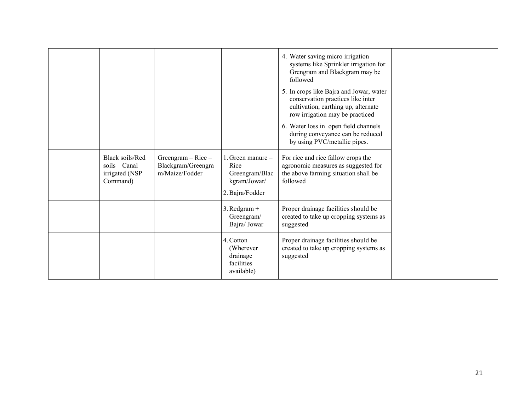|                                                                   |                                                                |                                                                                    | 4. Water saving micro irrigation<br>systems like Sprinkler irrigation for<br>Grengram and Blackgram may be<br>followed<br>5. In crops like Bajra and Jowar, water<br>conservation practices like inter<br>cultivation, earthing up, alternate<br>row irrigation may be practiced<br>6. Water loss in open field channels<br>during conveyance can be reduced<br>by using PVC/metallic pipes. |  |
|-------------------------------------------------------------------|----------------------------------------------------------------|------------------------------------------------------------------------------------|----------------------------------------------------------------------------------------------------------------------------------------------------------------------------------------------------------------------------------------------------------------------------------------------------------------------------------------------------------------------------------------------|--|
| Black soils/Red<br>$s$ oils – Canal<br>irrigated (NSP<br>Command) | Greengram $-$ Rice $-$<br>Blackgram/Greengra<br>m/Maize/Fodder | 1. Green manure -<br>$Rice -$<br>Greengram/Blac<br>kgram/Jowar/<br>2. Bajra/Fodder | For rice and rice fallow crops the<br>agronomic measures as suggested for<br>the above farming situation shall be<br>followed                                                                                                                                                                                                                                                                |  |
|                                                                   |                                                                | $3.$ Redgram +<br>Greengram/<br>Bajra/ Jowar                                       | Proper drainage facilities should be<br>created to take up cropping systems as<br>suggested                                                                                                                                                                                                                                                                                                  |  |
|                                                                   |                                                                | 4. Cotton<br>(Wherever)<br>drainage<br>facilities<br>available)                    | Proper drainage facilities should be<br>created to take up cropping systems as<br>suggested                                                                                                                                                                                                                                                                                                  |  |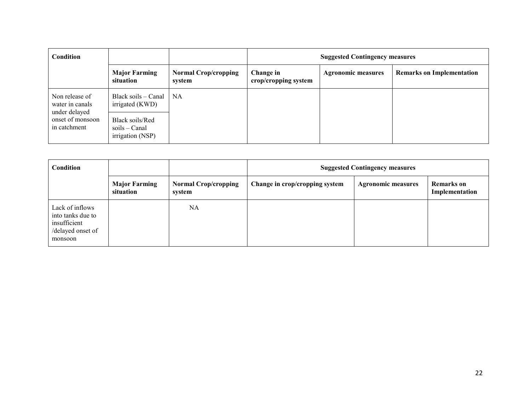| Condition                                          |                                                        |                                       | <b>Suggested Contingency measures</b> |                           |                                  |
|----------------------------------------------------|--------------------------------------------------------|---------------------------------------|---------------------------------------|---------------------------|----------------------------------|
|                                                    | <b>Major Farming</b><br>situation                      | <b>Normal Crop/cropping</b><br>system | Change in<br>crop/cropping system     | <b>Agronomic measures</b> | <b>Remarks on Implementation</b> |
| Non release of<br>water in canals<br>under delayed | Black soils – Canal<br>irrigated (KWD)                 | NA.                                   |                                       |                           |                                  |
| onset of monsoon<br>in catchment                   | Black soils/Red<br>$soils - Canal$<br>irrigation (NSP) |                                       |                                       |                           |                                  |

| <b>Condition</b>                                                                     |                                   |                                       | <b>Suggested Contingency measures</b> |                           |                                     |  |
|--------------------------------------------------------------------------------------|-----------------------------------|---------------------------------------|---------------------------------------|---------------------------|-------------------------------------|--|
|                                                                                      | <b>Major Farming</b><br>situation | <b>Normal Crop/cropping</b><br>system | Change in crop/cropping system        | <b>Agronomic measures</b> | <b>Remarks</b> on<br>Implementation |  |
| Lack of inflows<br>into tanks due to<br>insufficient<br>/delayed onset of<br>monsoon |                                   | <b>NA</b>                             |                                       |                           |                                     |  |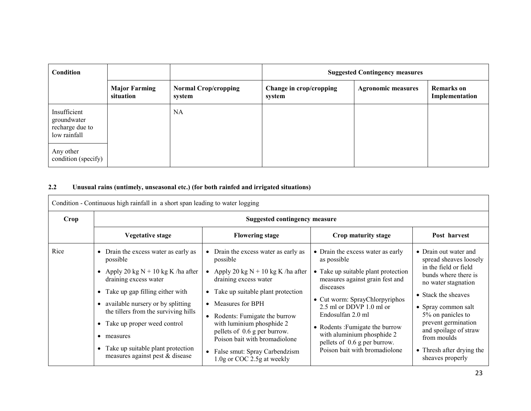| Condition                                                      |                                   |                                       | <b>Suggested Contingency measures</b> |                           |                                     |
|----------------------------------------------------------------|-----------------------------------|---------------------------------------|---------------------------------------|---------------------------|-------------------------------------|
|                                                                | <b>Major Farming</b><br>situation | <b>Normal Crop/cropping</b><br>system | Change in crop/cropping<br>system     | <b>Agronomic measures</b> | <b>Remarks</b> on<br>Implementation |
| Insufficient<br>groundwater<br>recharge due to<br>low rainfall |                                   | NA                                    |                                       |                           |                                     |
| Any other<br>condition (specify)                               |                                   |                                       |                                       |                           |                                     |

## 2.2 Unusual rains (untimely, unseasonal etc.) (for both rainfed and irrigated situations)

Condition - Continuous high rainfall in a short span leading to water logging

| Crop | <b>Suggested contingency measure</b>                                                                                                                                                                                                                                                                                                                  |                                                                                                                                                                                                                                                                                                                                                                                                                                       |                                                                                                                                                                                                                                                                                                                                                             |                                                                                                                                                                                                                                                                                                            |  |  |
|------|-------------------------------------------------------------------------------------------------------------------------------------------------------------------------------------------------------------------------------------------------------------------------------------------------------------------------------------------------------|---------------------------------------------------------------------------------------------------------------------------------------------------------------------------------------------------------------------------------------------------------------------------------------------------------------------------------------------------------------------------------------------------------------------------------------|-------------------------------------------------------------------------------------------------------------------------------------------------------------------------------------------------------------------------------------------------------------------------------------------------------------------------------------------------------------|------------------------------------------------------------------------------------------------------------------------------------------------------------------------------------------------------------------------------------------------------------------------------------------------------------|--|--|
|      | <b>Vegetative stage</b>                                                                                                                                                                                                                                                                                                                               | <b>Flowering stage</b>                                                                                                                                                                                                                                                                                                                                                                                                                | Crop maturity stage                                                                                                                                                                                                                                                                                                                                         | Post harvest                                                                                                                                                                                                                                                                                               |  |  |
| Rice | • Drain the excess water as early as<br>possible<br>Apply 20 kg $N + 10$ kg K /ha after<br>draining excess water<br>• Take up gap filling either with<br>available nursery or by splitting<br>the tillers from the surviving hills<br>Take up proper weed control<br>measures<br>Take up suitable plant protection<br>measures against pest & disease | Drain the excess water as early as<br>$\bullet$<br>possible<br>Apply 20 kg $N + 10$ kg K /ha after<br>draining excess water<br>Take up suitable plant protection<br>$\bullet$<br>Measures for BPH<br>$\bullet$<br>Rodents: Fumigate the burrow<br>$\bullet$<br>with luminium phosphide 2<br>pellets of 0.6 g per burrow.<br>Poison bait with bromadiolone<br>False smut: Spray Carbendzism<br>$\bullet$<br>1.0g or COC 2.5g at weekly | • Drain the excess water as early<br>as possible<br>• Take up suitable plant protection<br>measures against grain fest and<br>disceases<br>• Cut worm: SprayChlorpyriphos<br>2.5 ml or DDVP 1.0 ml or<br>Endosulfan 2.0 ml<br>• Rodents: Fumigate the burrow<br>with aluminium phosphide 2<br>pellets of 0.6 g per burrow.<br>Poison bait with bromadiolone | • Drain out water and<br>spread sheaves loosely<br>in the field or field<br>bunds where there is<br>no water stagnation<br>• Stack the sheaves<br>• Spray common salt<br>5% on panicles to<br>prevent germination<br>and spoilage of straw<br>from moulds<br>• Thresh after drying the<br>sheaves properly |  |  |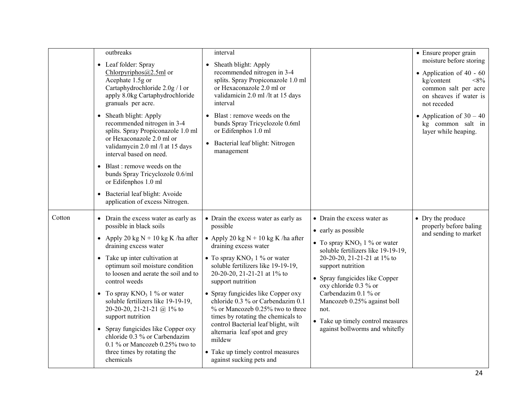|        | outbreaks                                                                                                                                                                               | interval                                                                                                                                                                  |                                                                       | • Ensure proper grain                                                                                                                              |
|--------|-----------------------------------------------------------------------------------------------------------------------------------------------------------------------------------------|---------------------------------------------------------------------------------------------------------------------------------------------------------------------------|-----------------------------------------------------------------------|----------------------------------------------------------------------------------------------------------------------------------------------------|
|        | • Leaf folder: Spray<br>Chlorpyriphos $(a, 2.5m]$ or<br>Acephate 1.5g or<br>Cartaphydrochloride 2.0g / 1 or<br>apply 8.0kg Cartaphydrochloride<br>granuals per acre.                    | • Sheath blight: Apply<br>recommended nitrogen in 3-4<br>splits. Spray Propiconazole 1.0 ml<br>or Hexaconazole 2.0 ml or<br>validamicin 2.0 ml /lt at 15 days<br>interval |                                                                       | moisture before storing<br>• Application of 40 - 60<br>kg/content<br>$<\!\!8\!\%$<br>common salt per acre<br>on sheaves if water is<br>not receded |
|        | • Sheath blight: Apply<br>recommended nitrogen in 3-4<br>splits. Spray Propiconazole 1.0 ml<br>or Hexaconazole 2.0 ml or<br>validamycin 2.0 ml /l at 15 days<br>interval based on need. | • Blast : remove weeds on the<br>bunds Spray Tricyclozole 0.6ml<br>or Edifenphos 1.0 ml<br>• Bacterial leaf blight: Nitrogen<br>management                                |                                                                       | • Application of $30 - 40$<br>kg common salt in<br>layer while heaping.                                                                            |
|        | Blast: remove weeds on the<br>bunds Spray Tricyclozole 0.6/ml<br>or Edifenphos 1.0 ml                                                                                                   |                                                                                                                                                                           |                                                                       |                                                                                                                                                    |
|        | • Bacterial leaf blight: Avoide<br>application of excess Nitrogen.                                                                                                                      |                                                                                                                                                                           |                                                                       |                                                                                                                                                    |
| Cotton | • Drain the excess water as early as<br>possible in black soils                                                                                                                         | • Drain the excess water as early as<br>possible                                                                                                                          | • Drain the excess water as<br>• early as possible                    | • Dry the produce<br>properly before baling                                                                                                        |
|        | • Apply 20 kg $N + 10$ kg K /ha after<br>draining excess water                                                                                                                          | • Apply 20 kg $N + 10$ kg K /ha after<br>draining excess water                                                                                                            | • To spray $KNO_3$ 1 % or water<br>soluble fertilizers like 19-19-19, | and sending to market                                                                                                                              |
|        | • Take up inter cultivation at<br>optimum soil moisture condition<br>to loosen and aerate the soil and to                                                                               | • To spray $KNO_3$ 1 % or water<br>soluble fertilizers like 19-19-19,<br>20-20-20, 21-21-21 at 1% to                                                                      | 20-20-20, 21-21-21 at 1% to<br>support nutrition                      |                                                                                                                                                    |
|        | control weeds                                                                                                                                                                           | support nutrition                                                                                                                                                         | • Spray fungicides like Copper<br>oxy chloride 0.3 % or               |                                                                                                                                                    |
|        | • To spray $KNO_3$ 1 % or water<br>soluble fertilizers like 19-19-19,<br>20-20-20, 21-21-21 @ 1% to<br>support nutrition                                                                | • Spray fungicides like Copper oxy<br>chloride 0.3 % or Carbendazim 0.1<br>% or Mancozeb 0.25% two to three<br>times by rotating the chemicals to                         | Carbendazim 0.1 % or<br>Mancozeb 0.25% against boll<br>not.           |                                                                                                                                                    |
|        | • Spray fungicides like Copper oxy<br>chloride 0.3 % or Carbendazim<br>0.1 % or Mancozeb 0.25% two to                                                                                   | control Bacterial leaf blight, wilt<br>alternaria leaf spot and grey<br>mildew                                                                                            | • Take up timely control measures<br>against bollworms and whitefly   |                                                                                                                                                    |
|        | three times by rotating the<br>chemicals                                                                                                                                                | • Take up timely control measures<br>against sucking pets and                                                                                                             |                                                                       |                                                                                                                                                    |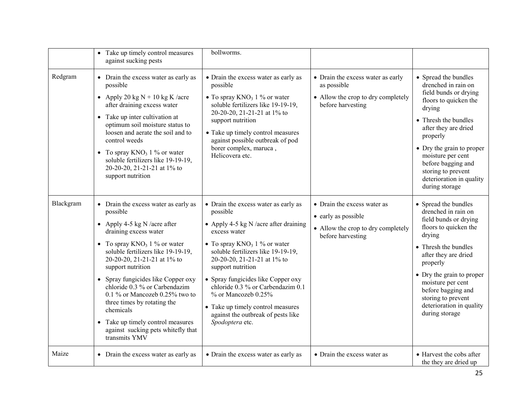|           | • Take up timely control measures<br>against sucking pests                                                                                                                                                                                                                                                                                                                                                                                                                              | bollworms.                                                                                                                                                                                                                                                                                                                                                                                                                             |                                                                                                               |                                                                                                                                                                                                                                                                                                                 |
|-----------|-----------------------------------------------------------------------------------------------------------------------------------------------------------------------------------------------------------------------------------------------------------------------------------------------------------------------------------------------------------------------------------------------------------------------------------------------------------------------------------------|----------------------------------------------------------------------------------------------------------------------------------------------------------------------------------------------------------------------------------------------------------------------------------------------------------------------------------------------------------------------------------------------------------------------------------------|---------------------------------------------------------------------------------------------------------------|-----------------------------------------------------------------------------------------------------------------------------------------------------------------------------------------------------------------------------------------------------------------------------------------------------------------|
| Redgram   | • Drain the excess water as early as<br>possible<br>• Apply 20 kg $N + 10$ kg K /acre<br>after draining excess water<br>• Take up inter cultivation at<br>optimum soil moisture status to<br>loosen and aerate the soil and to<br>control weeds<br>• To spray $KNO_3$ 1 % or water<br>soluble fertilizers like 19-19-19,<br>20-20-20, 21-21-21 at 1% to<br>support nutrition                                                                                                            | • Drain the excess water as early as<br>possible<br>• To spray $KNO_3$ 1 % or water<br>soluble fertilizers like 19-19-19,<br>20-20-20, 21-21-21 at 1% to<br>support nutrition<br>• Take up timely control measures<br>against possible outbreak of pod<br>borer complex, maruca,<br>Helicovera etc.                                                                                                                                    | • Drain the excess water as early<br>as possible<br>• Allow the crop to dry completely<br>before harvesting   | • Spread the bundles<br>drenched in rain on<br>field bunds or drying<br>floors to quicken the<br>drying<br>• Thresh the bundles<br>after they are dried<br>properly<br>• Dry the grain to proper<br>moisture per cent<br>before bagging and<br>storing to prevent<br>deterioration in quality<br>during storage |
| Blackgram | • Drain the excess water as early as<br>possible<br>• Apply 4-5 kg N /acre after<br>draining excess water<br>• To spray $KNO_3$ 1 % or water<br>soluble fertilizers like 19-19-19,<br>20-20-20, 21-21-21 at 1% to<br>support nutrition<br>• Spray fungicides like Copper oxy<br>chloride 0.3 % or Carbendazim<br>0.1 % or Mancozeb 0.25% two to<br>three times by rotating the<br>chemicals<br>• Take up timely control measures<br>against sucking pets whitefly that<br>transmits YMV | • Drain the excess water as early as<br>possible<br>• Apply 4-5 kg N /acre after draining<br>excess water<br>• To spray $KNO_3$ 1 % or water<br>soluble fertilizers like 19-19-19,<br>20-20-20, 21-21-21 at 1% to<br>support nutrition<br>• Spray fungicides like Copper oxy<br>chloride 0.3 % or Carbendazim 0.1<br>% or Mancozeb 0.25%<br>• Take up timely control measures<br>against the outbreak of pests like<br>Spodoptera etc. | • Drain the excess water as<br>• early as possible<br>• Allow the crop to dry completely<br>before harvesting | • Spread the bundles<br>drenched in rain on<br>field bunds or drying<br>floors to quicken the<br>drying<br>• Thresh the bundles<br>after they are dried<br>properly<br>• Dry the grain to proper<br>moisture per cent<br>before bagging and<br>storing to prevent<br>deterioration in quality<br>during storage |
| Maize     | • Drain the excess water as early as                                                                                                                                                                                                                                                                                                                                                                                                                                                    | • Drain the excess water as early as                                                                                                                                                                                                                                                                                                                                                                                                   | • Drain the excess water as                                                                                   | • Harvest the cobs after<br>the they are dried up                                                                                                                                                                                                                                                               |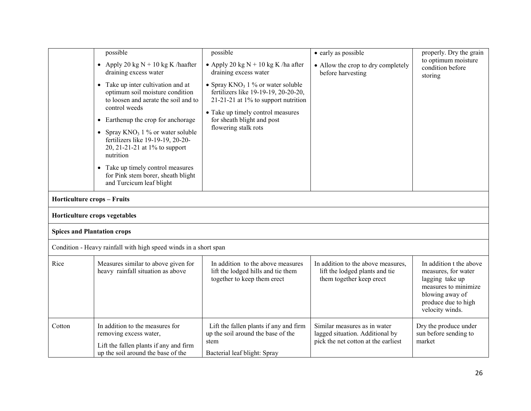|                                    | possible<br>• Apply 20 kg $N + 10$ kg K /haafter<br>draining excess water<br>• Take up inter cultivation and at<br>optimum soil moisture condition<br>to loosen and aerate the soil and to<br>control weeds<br>Earthenup the crop for anchorage<br>$\bullet$<br>• Spray $KNO_3$ 1 % or water soluble<br>fertilizers like 19-19-19, 20-20- | possible<br>• Apply 20 kg $N + 10$ kg K /ha after<br>draining excess water<br>• Spray $KNO_3$ 1 % or water soluble<br>fertilizers like 19-19-19, 20-20-20,<br>21-21-21 at $1\%$ to support nutrition<br>• Take up timely control measures<br>for sheath blight and post<br>flowering stalk rots | • early as possible<br>• Allow the crop to dry completely<br>before harvesting                         | properly. Dry the grain<br>to optimum moisture<br>condition before<br>storing                                                                           |
|------------------------------------|-------------------------------------------------------------------------------------------------------------------------------------------------------------------------------------------------------------------------------------------------------------------------------------------------------------------------------------------|-------------------------------------------------------------------------------------------------------------------------------------------------------------------------------------------------------------------------------------------------------------------------------------------------|--------------------------------------------------------------------------------------------------------|---------------------------------------------------------------------------------------------------------------------------------------------------------|
|                                    | 20, 21-21-21 at 1% to support<br>nutrition<br>Take up timely control measures<br>$\bullet$<br>for Pink stem borer, sheath blight<br>and Turcicum leaf blight                                                                                                                                                                              |                                                                                                                                                                                                                                                                                                 |                                                                                                        |                                                                                                                                                         |
| Horticulture crops - Fruits        |                                                                                                                                                                                                                                                                                                                                           |                                                                                                                                                                                                                                                                                                 |                                                                                                        |                                                                                                                                                         |
|                                    | Horticulture crops vegetables                                                                                                                                                                                                                                                                                                             |                                                                                                                                                                                                                                                                                                 |                                                                                                        |                                                                                                                                                         |
| <b>Spices and Plantation crops</b> |                                                                                                                                                                                                                                                                                                                                           |                                                                                                                                                                                                                                                                                                 |                                                                                                        |                                                                                                                                                         |
|                                    | Condition - Heavy rainfall with high speed winds in a short span                                                                                                                                                                                                                                                                          |                                                                                                                                                                                                                                                                                                 |                                                                                                        |                                                                                                                                                         |
| Rice                               | Measures similar to above given for<br>heavy rainfall situation as above                                                                                                                                                                                                                                                                  | In addition to the above measures<br>lift the lodged hills and tie them<br>together to keep them erect                                                                                                                                                                                          | In addition to the above measures,<br>lift the lodged plants and tie<br>them together keep erect       | In addition t the above<br>measures, for water<br>lagging take up<br>measures to minimize.<br>blowing away of<br>produce due to high<br>velocity winds. |
| Cotton                             | In addition to the measures for<br>removing excess water,<br>Lift the fallen plants if any and firm<br>up the soil around the base of the                                                                                                                                                                                                 | Lift the fallen plants if any and firm<br>up the soil around the base of the<br>stem<br>Bacterial leaf blight: Spray                                                                                                                                                                            | Similar measures as in water<br>lagged situation. Additional by<br>pick the net cotton at the earliest | Dry the produce under<br>sun before sending to<br>market                                                                                                |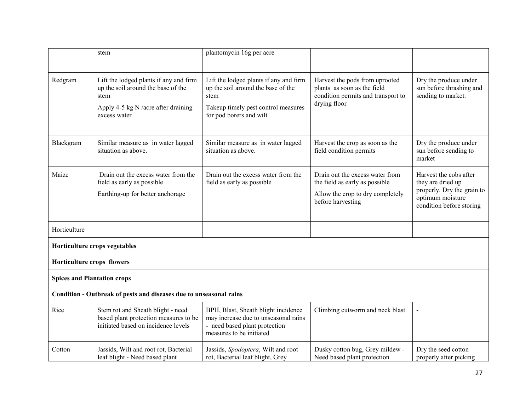|                                                                    | stem                                                                                                                                        | plantomycin 16g per acre                                                                                                                               |                                                                                                                            |                                                                                                                           |  |
|--------------------------------------------------------------------|---------------------------------------------------------------------------------------------------------------------------------------------|--------------------------------------------------------------------------------------------------------------------------------------------------------|----------------------------------------------------------------------------------------------------------------------------|---------------------------------------------------------------------------------------------------------------------------|--|
|                                                                    |                                                                                                                                             |                                                                                                                                                        |                                                                                                                            |                                                                                                                           |  |
| Redgram                                                            | Lift the lodged plants if any and firm<br>up the soil around the base of the<br>stem<br>Apply 4-5 kg N /acre after draining<br>excess water | Lift the lodged plants if any and firm<br>up the soil around the base of the<br>stem<br>Takeup timely pest control measures<br>for pod borers and wilt | Harvest the pods from uprooted<br>plants as soon as the field<br>condition permits and transport to<br>drying floor        | Dry the produce under<br>sun before thrashing and<br>sending to market.                                                   |  |
| Blackgram                                                          | Similar measure as in water lagged<br>situation as above.                                                                                   | Similar measure as in water lagged<br>situation as above.                                                                                              | Harvest the crop as soon as the<br>field condition permits                                                                 | Dry the produce under<br>sun before sending to<br>market                                                                  |  |
| Maize                                                              | Drain out the excess water from the<br>field as early as possible<br>Earthing-up for better anchorage                                       | Drain out the excess water from the<br>field as early as possible                                                                                      | Drain out the excess water from<br>the field as early as possible<br>Allow the crop to dry completely<br>before harvesting | Harvest the cobs after<br>they are dried up<br>properly. Dry the grain to<br>optimum moisture<br>condition before storing |  |
| Horticulture                                                       |                                                                                                                                             |                                                                                                                                                        |                                                                                                                            |                                                                                                                           |  |
|                                                                    | Horticulture crops vegetables                                                                                                               |                                                                                                                                                        |                                                                                                                            |                                                                                                                           |  |
| Horticulture crops flowers                                         |                                                                                                                                             |                                                                                                                                                        |                                                                                                                            |                                                                                                                           |  |
| <b>Spices and Plantation crops</b>                                 |                                                                                                                                             |                                                                                                                                                        |                                                                                                                            |                                                                                                                           |  |
| Condition - Outbreak of pests and diseases due to unseasonal rains |                                                                                                                                             |                                                                                                                                                        |                                                                                                                            |                                                                                                                           |  |
| Rice                                                               | Stem rot and Sheath blight - need<br>based plant protection measures to be<br>initiated based on incidence levels                           | BPH, Blast, Sheath blight incidence<br>may increase due to unseasonal rains<br>- need based plant protection<br>measures to be initiated               | Climbing cutworm and neck blast                                                                                            | $\overline{\phantom{0}}$                                                                                                  |  |
| Cotton                                                             | Jassids, Wilt and root rot, Bacterial<br>leaf blight - Need based plant                                                                     | Jassids, Spodoptera, Wilt and root<br>rot, Bacterial leaf blight, Grey                                                                                 | Dusky cotton bug, Grey mildew -<br>Need based plant protection                                                             | Dry the seed cotton<br>properly after picking                                                                             |  |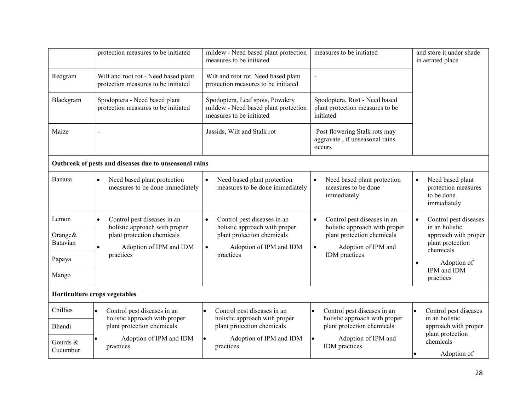|                               | protection measures to be initiated                                         | mildew - Need based plant protection<br>measures to be initiated                                         | measures to be initiated                                                       | and store it under shade<br>in aerated place                                      |  |
|-------------------------------|-----------------------------------------------------------------------------|----------------------------------------------------------------------------------------------------------|--------------------------------------------------------------------------------|-----------------------------------------------------------------------------------|--|
| Redgram                       | Wilt and root rot - Need based plant<br>protection measures to be initiated | Wilt and root rot. Need based plant<br>protection measures to be initiated                               |                                                                                |                                                                                   |  |
| Blackgram                     | Spodoptera - Need based plant<br>protection measures to be initiated        | Spodoptera, Leaf spots, Powdery<br>mildew - Need based plant protection<br>measures to be initiated      | Spodoptera, Rust - Need based<br>plant protection measures to be<br>initiated  |                                                                                   |  |
| Maize                         |                                                                             | Jassids, Wilt and Stalk rot<br>Post flowering Stalk rots may<br>aggravate, if unseasonal rains<br>occurs |                                                                                |                                                                                   |  |
|                               | Outbreak of pests and diseases due to unseasonal rains                      |                                                                                                          |                                                                                |                                                                                   |  |
| Banana                        | Need based plant protection<br>$\bullet$<br>measures to be done immediately | Need based plant protection<br>$\bullet$<br>measures to be done immediately                              | Need based plant protection<br>$\bullet$<br>measures to be done<br>immediately | Need based plant<br>$\bullet$<br>protection measures<br>to be done<br>immediately |  |
| Lemon                         | Control pest diseases in an<br>$\bullet$<br>holistic approach with proper   | Control pest diseases in an<br>$\bullet$<br>holistic approach with proper                                | Control pest diseases in an<br>$\bullet$<br>holistic approach with proper      | Control pest diseases<br>$\bullet$<br>in an holistic                              |  |
| Orange $&$<br>Batavian        | plant protection chemicals<br>Adoption of IPM and IDM<br>$\bullet$          | plant protection chemicals<br>Adoption of IPM and IDM<br>$\bullet$                                       | plant protection chemicals<br>Adoption of IPM and<br>$\bullet$                 | approach with proper<br>plant protection<br>chemicals                             |  |
| Papaya                        | practices                                                                   | practices                                                                                                | IDM practices                                                                  | Adoption of<br>$\bullet$                                                          |  |
| Mango                         |                                                                             |                                                                                                          |                                                                                | IPM and IDM<br>practices                                                          |  |
| Horticulture crops vegetables |                                                                             |                                                                                                          |                                                                                |                                                                                   |  |
| Chillies                      | Control pest diseases in an<br>$\bullet$<br>holistic approach with proper   | Control pest diseases in an<br>$\bullet$<br>holistic approach with proper                                | Control pest diseases in an<br>$\bullet$<br>holistic approach with proper      | Control pest diseases<br>$\bullet$<br>in an holistic                              |  |
| Bhendi                        | plant protection chemicals                                                  | plant protection chemicals                                                                               | plant protection chemicals                                                     | approach with proper                                                              |  |
| Gourds &<br>Cucumbur          | Adoption of IPM and IDM<br>practices                                        | Adoption of IPM and IDM<br>$\bullet$<br>practices                                                        | Adoption of IPM and<br>IDM practices                                           | plant protection<br>chemicals<br>Adoption of                                      |  |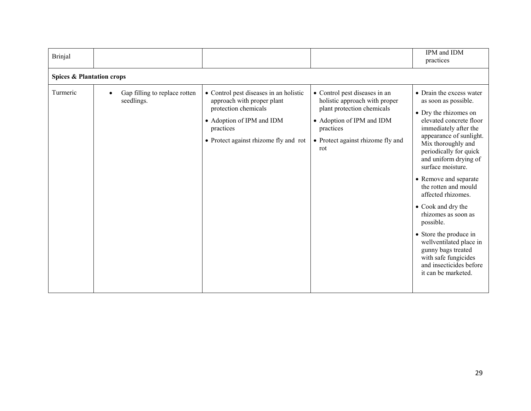| <b>Brinjal</b> |                                                          |                                                                                                                                                                                 |                                                                                                                                                                                    | IPM and IDM<br>practices                                                                                                                                                                                                                                                                                                                                                                                                                                                                                                                     |  |  |
|----------------|----------------------------------------------------------|---------------------------------------------------------------------------------------------------------------------------------------------------------------------------------|------------------------------------------------------------------------------------------------------------------------------------------------------------------------------------|----------------------------------------------------------------------------------------------------------------------------------------------------------------------------------------------------------------------------------------------------------------------------------------------------------------------------------------------------------------------------------------------------------------------------------------------------------------------------------------------------------------------------------------------|--|--|
|                | <b>Spices &amp; Plantation crops</b>                     |                                                                                                                                                                                 |                                                                                                                                                                                    |                                                                                                                                                                                                                                                                                                                                                                                                                                                                                                                                              |  |  |
| Turmeric       | Gap filling to replace rotten<br>$\bullet$<br>seedlings. | • Control pest diseases in an holistic<br>approach with proper plant<br>protection chemicals<br>• Adoption of IPM and IDM<br>practices<br>• Protect against rhizome fly and rot | • Control pest diseases in an<br>holistic approach with proper<br>plant protection chemicals<br>• Adoption of IPM and IDM<br>practices<br>• Protect against rhizome fly and<br>rot | • Drain the excess water<br>as soon as possible.<br>• Dry the rhizomes on<br>elevated concrete floor<br>immediately after the<br>appearance of sunlight.<br>Mix thoroughly and<br>periodically for quick<br>and uniform drying of<br>surface moisture.<br>• Remove and separate<br>the rotten and mould<br>affected rhizomes.<br>• Cook and dry the<br>rhizomes as soon as<br>possible.<br>• Store the produce in<br>wellventilated place in<br>gunny bags treated<br>with safe fungicides<br>and insecticides before<br>it can be marketed. |  |  |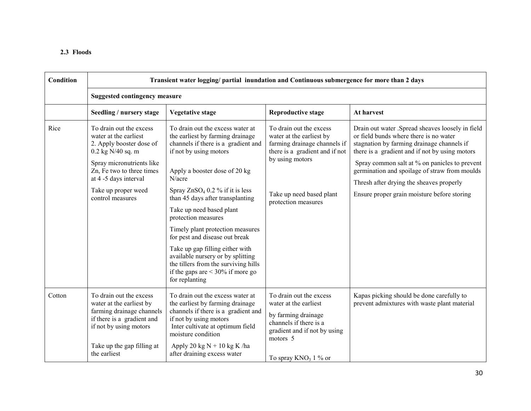| <b>Condition</b> | Transient water logging/ partial inundation and Continuous submergence for more than 2 days                                                                                                                                       |                                                                                                                                                                                                                                                                                                                                                                                                                                                                                                                                                                 |                                                                                                                                                                                             |                                                                                                                                                                                                                                                                                                                                                                                         |  |  |
|------------------|-----------------------------------------------------------------------------------------------------------------------------------------------------------------------------------------------------------------------------------|-----------------------------------------------------------------------------------------------------------------------------------------------------------------------------------------------------------------------------------------------------------------------------------------------------------------------------------------------------------------------------------------------------------------------------------------------------------------------------------------------------------------------------------------------------------------|---------------------------------------------------------------------------------------------------------------------------------------------------------------------------------------------|-----------------------------------------------------------------------------------------------------------------------------------------------------------------------------------------------------------------------------------------------------------------------------------------------------------------------------------------------------------------------------------------|--|--|
|                  | <b>Suggested contingency measure</b>                                                                                                                                                                                              |                                                                                                                                                                                                                                                                                                                                                                                                                                                                                                                                                                 |                                                                                                                                                                                             |                                                                                                                                                                                                                                                                                                                                                                                         |  |  |
|                  | Seedling / nursery stage                                                                                                                                                                                                          | <b>Vegetative stage</b>                                                                                                                                                                                                                                                                                                                                                                                                                                                                                                                                         | <b>Reproductive stage</b>                                                                                                                                                                   | At harvest                                                                                                                                                                                                                                                                                                                                                                              |  |  |
| Rice             | To drain out the excess<br>water at the earliest<br>2. Apply booster dose of<br>$0.2$ kg N/40 sq. m<br>Spray micronutrients like<br>Zn, Fe two to three times<br>at 4 -5 days interval<br>Take up proper weed<br>control measures | To drain out the excess water at<br>the earliest by farming drainage<br>channels if there is a gradient and<br>if not by using motors<br>Apply a booster dose of 20 kg<br>N/acre<br>Spray $ZnSO_4$ 0.2 % if it is less<br>than 45 days after transplanting<br>Take up need based plant<br>protection measures<br>Timely plant protection measures<br>for pest and disease out break<br>Take up gap filling either with<br>available nursery or by splitting<br>the tillers from the surviving hills<br>if the gaps are $\leq 30\%$ if more go<br>for replanting | To drain out the excess<br>water at the earliest by<br>farming drainage channels if<br>there is a gradient and if not<br>by using motors<br>Take up need based plant<br>protection measures | Drain out water .Spread sheaves loosely in field<br>or field bunds where there is no water<br>stagnation by farming drainage channels if<br>there is a gradient and if not by using motors<br>Spray common salt at % on panicles to prevent<br>germination and spoilage of straw from moulds<br>Thresh after drying the sheaves properly<br>Ensure proper grain moisture before storing |  |  |
| Cotton           | To drain out the excess<br>water at the earliest by<br>farming drainage channels<br>if there is a gradient and<br>if not by using motors<br>Take up the gap filling at<br>the earliest                                            | To drain out the excess water at<br>the earliest by farming drainage<br>channels if there is a gradient and<br>if not by using motors<br>Inter cultivate at optimum field<br>moisture condition<br>Apply 20 kg $N + 10$ kg K /ha<br>after draining excess water                                                                                                                                                                                                                                                                                                 | To drain out the excess<br>water at the earliest<br>by farming drainage<br>channels if there is a<br>gradient and if not by using<br>motors 5<br>To spray $KNO_3$ 1 % or                    | Kapas picking should be done carefully to<br>prevent admixtures with waste plant material                                                                                                                                                                                                                                                                                               |  |  |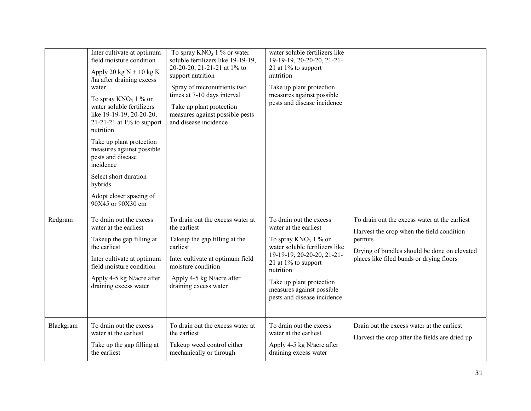|           | Inter cultivate at optimum<br>field moisture condition<br>Apply 20 kg $N + 10$ kg K<br>ha after draining excess<br>water<br>To spray $KNO_3$ 1 % or<br>water soluble fertilizers<br>like 19-19-19, 20-20-20,<br>21-21-21 at $1\%$ to support<br>nutrition<br>Take up plant protection<br>measures against possible<br>pests and disease<br>incidence<br>Select short duration<br>hybrids<br>Adopt closer spacing of<br>90X45 or 90X30 cm | To spray $KNO_3$ 1 % or water<br>soluble fertilizers like 19-19-19.<br>20-20-20, 21-21-21 at 1% to<br>support nutrition<br>Spray of micronutrients two<br>times at 7-10 days interval<br>Take up plant protection<br>measures against possible pests<br>and disease incidence | water soluble fertilizers like<br>19-19-19, 20-20-20, 21-21-<br>21 at $1\%$ to support<br>nutrition<br>Take up plant protection<br>measures against possible<br>pests and disease incidence                                                                                |                                                                                                                                                                                                   |
|-----------|------------------------------------------------------------------------------------------------------------------------------------------------------------------------------------------------------------------------------------------------------------------------------------------------------------------------------------------------------------------------------------------------------------------------------------------|-------------------------------------------------------------------------------------------------------------------------------------------------------------------------------------------------------------------------------------------------------------------------------|----------------------------------------------------------------------------------------------------------------------------------------------------------------------------------------------------------------------------------------------------------------------------|---------------------------------------------------------------------------------------------------------------------------------------------------------------------------------------------------|
| Redgram   | To drain out the excess<br>water at the earliest<br>Takeup the gap filling at<br>the earliest<br>Inter cultivate at optimum<br>field moisture condition<br>Apply 4-5 kg N/acre after<br>draining excess water                                                                                                                                                                                                                            | To drain out the excess water at<br>the earliest<br>Takeup the gap filling at the<br>earliest<br>Inter cultivate at optimum field<br>moisture condition<br>Apply 4-5 kg N/acre after<br>draining excess water                                                                 | To drain out the excess<br>water at the earliest<br>To spray $KNO_3$ 1 % or<br>water soluble fertilizers like<br>19-19-19, 20-20-20, 21-21-<br>21 at $1\%$ to support<br>nutrition<br>Take up plant protection<br>measures against possible<br>pests and disease incidence | To drain out the excess water at the earliest<br>Harvest the crop when the field condition<br>permits<br>Drying of bundles should be done on elevated<br>places like filed bunds or drying floors |
| Blackgram | To drain out the excess<br>water at the earliest<br>Take up the gap filling at<br>the earliest                                                                                                                                                                                                                                                                                                                                           | To drain out the excess water at<br>the earliest<br>Takeup weed control either<br>mechanically or through                                                                                                                                                                     | To drain out the excess<br>water at the earliest<br>Apply 4-5 kg N/acre after<br>draining excess water                                                                                                                                                                     | Drain out the excess water at the earliest<br>Harvest the crop after the fields are dried up                                                                                                      |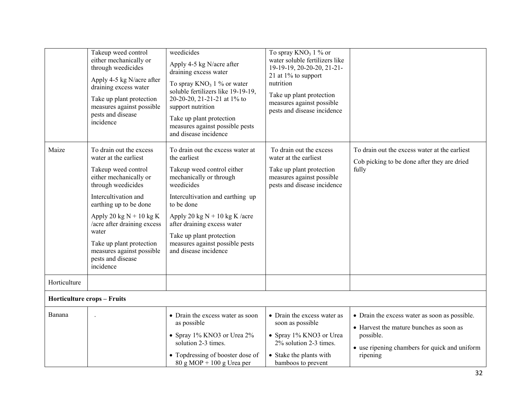| Maize        | Takeup weed control<br>either mechanically or<br>through weedicides<br>Apply 4-5 kg N/acre after<br>draining excess water<br>Take up plant protection<br>measures against possible<br>pests and disease<br>incidence<br>To drain out the excess<br>water at the earliest | weedicides<br>Apply 4-5 kg N/acre after<br>draining excess water<br>To spray $KNO_3$ 1 % or water<br>soluble fertilizers like 19-19-19,<br>20-20-20, 21-21-21 at 1% to<br>support nutrition<br>Take up plant protection<br>measures against possible pests<br>and disease incidence<br>To drain out the excess water at<br>the earliest | To spray $KNO_3$ 1 % or<br>water soluble fertilizers like<br>19-19-19, 20-20-20, 21-21-<br>21 at 1% to support<br>nutrition<br>Take up plant protection<br>measures against possible<br>pests and disease incidence<br>To drain out the excess<br>water at the earliest | To drain out the excess water at the earliest<br>Cob picking to be done after they are dried                                                           |
|--------------|--------------------------------------------------------------------------------------------------------------------------------------------------------------------------------------------------------------------------------------------------------------------------|-----------------------------------------------------------------------------------------------------------------------------------------------------------------------------------------------------------------------------------------------------------------------------------------------------------------------------------------|-------------------------------------------------------------------------------------------------------------------------------------------------------------------------------------------------------------------------------------------------------------------------|--------------------------------------------------------------------------------------------------------------------------------------------------------|
|              | Takeup weed control<br>either mechanically or<br>through weedicides                                                                                                                                                                                                      | Takeup weed control either<br>mechanically or through<br>weedicides                                                                                                                                                                                                                                                                     | Take up plant protection<br>measures against possible<br>pests and disease incidence                                                                                                                                                                                    | fully                                                                                                                                                  |
|              | Intercultivation and<br>earthing up to be done                                                                                                                                                                                                                           | Intercultivation and earthing up<br>to be done                                                                                                                                                                                                                                                                                          |                                                                                                                                                                                                                                                                         |                                                                                                                                                        |
|              | Apply 20 kg $N + 10$ kg K<br>/acre after draining excess<br>water<br>Take up plant protection<br>measures against possible<br>pests and disease<br>incidence                                                                                                             | Apply 20 kg $N + 10$ kg K /acre<br>after draining excess water<br>Take up plant protection<br>measures against possible pests<br>and disease incidence                                                                                                                                                                                  |                                                                                                                                                                                                                                                                         |                                                                                                                                                        |
| Horticulture |                                                                                                                                                                                                                                                                          |                                                                                                                                                                                                                                                                                                                                         |                                                                                                                                                                                                                                                                         |                                                                                                                                                        |
|              | <b>Horticulture crops - Fruits</b>                                                                                                                                                                                                                                       |                                                                                                                                                                                                                                                                                                                                         |                                                                                                                                                                                                                                                                         |                                                                                                                                                        |
| Banana       |                                                                                                                                                                                                                                                                          | • Drain the excess water as soon<br>as possible<br>• Spray 1% KNO3 or Urea 2%<br>solution 2-3 times.                                                                                                                                                                                                                                    | • Drain the excess water as<br>soon as possible<br>• Spray 1% KNO3 or Urea<br>2% solution 2-3 times.                                                                                                                                                                    | • Drain the excess water as soon as possible.<br>• Harvest the mature bunches as soon as<br>possible.<br>• use ripening chambers for quick and uniform |
|              |                                                                                                                                                                                                                                                                          | • Topdressing of booster dose of<br>$80$ g MOP + 100 g Urea per                                                                                                                                                                                                                                                                         | • Stake the plants with<br>bamboos to prevent                                                                                                                                                                                                                           | ripening                                                                                                                                               |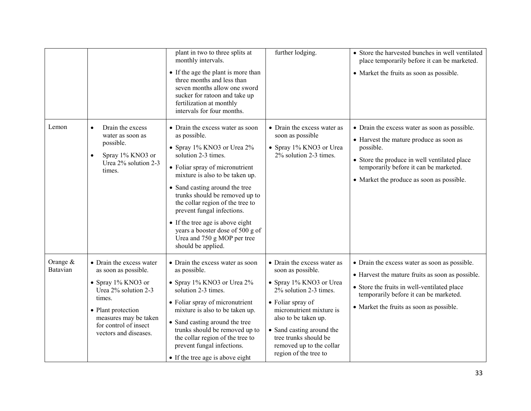|                        |                                                                                                                                                                                                              | plant in two to three splits at<br>monthly intervals.<br>• If the age the plant is more than<br>three months and less than<br>seven months allow one sword<br>sucker for ratoon and take up<br>fertilization at monthly<br>intervals for four months.                                                                                                                                                                                          | further lodging.                                                                                                                                                                                                                                                                          | • Store the harvested bunches in well ventilated<br>place temporarily before it can be marketed.<br>• Market the fruits as soon as possible.                                                                                                 |
|------------------------|--------------------------------------------------------------------------------------------------------------------------------------------------------------------------------------------------------------|------------------------------------------------------------------------------------------------------------------------------------------------------------------------------------------------------------------------------------------------------------------------------------------------------------------------------------------------------------------------------------------------------------------------------------------------|-------------------------------------------------------------------------------------------------------------------------------------------------------------------------------------------------------------------------------------------------------------------------------------------|----------------------------------------------------------------------------------------------------------------------------------------------------------------------------------------------------------------------------------------------|
| Lemon                  | Drain the excess<br>$\bullet$<br>water as soon as<br>possible.<br>Spray 1% KNO3 or<br>$\bullet$<br>Urea 2% solution 2-3<br>times.                                                                            | • Drain the excess water as soon<br>as possible.<br>• Spray 1% KNO3 or Urea 2%<br>solution 2-3 times.<br>• Foliar spray of micronutrient<br>mixture is also to be taken up.<br>• Sand casting around the tree<br>trunks should be removed up to<br>the collar region of the tree to<br>prevent fungal infections.<br>• If the tree age is above eight<br>years a booster dose of 500 g of<br>Urea and 750 g MOP per tree<br>should be applied. | • Drain the excess water as<br>soon as possible<br>• Spray 1% KNO3 or Urea<br>2% solution 2-3 times.                                                                                                                                                                                      | • Drain the excess water as soon as possible.<br>• Harvest the mature produce as soon as<br>possible.<br>• Store the produce in well ventilated place<br>temporarily before it can be marketed.<br>• Market the produce as soon as possible. |
| Orange $&$<br>Batavian | • Drain the excess water<br>as soon as possible.<br>• Spray $1\%$ KNO3 or<br>Urea 2% solution 2-3<br>times.<br>• Plant protection<br>measures may be taken<br>for control of insect<br>vectors and diseases. | • Drain the excess water as soon<br>as possible.<br>• Spray 1% KNO3 or Urea 2%<br>solution 2-3 times.<br>• Foliar spray of micronutrient<br>mixture is also to be taken up.<br>• Sand casting around the tree<br>trunks should be removed up to<br>the collar region of the tree to<br>prevent fungal infections.<br>• If the tree age is above eight                                                                                          | • Drain the excess water as<br>soon as possible.<br>• Spray 1% KNO3 or Urea<br>2% solution 2-3 times.<br>• Foliar spray of<br>micronutrient mixture is<br>also to be taken up.<br>• Sand casting around the<br>tree trunks should be<br>removed up to the collar<br>region of the tree to | • Drain the excess water as soon as possible.<br>• Harvest the mature fruits as soon as possible.<br>• Store the fruits in well-ventilated place<br>temporarily before it can be marketed.<br>• Market the fruits as soon as possible.       |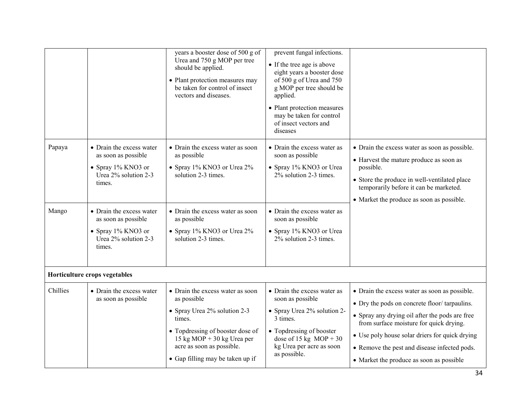|                 |                                                                                                                                                                                                                          | years a booster dose of 500 g of<br>Urea and 750 g MOP per tree<br>should be applied.<br>• Plant protection measures may<br>be taken for control of insect<br>vectors and diseases.                                          | prevent fungal infections.<br>• If the tree age is above<br>eight years a booster dose<br>of 500 g of Urea and 750<br>g MOP per tree should be<br>applied.<br>• Plant protection measures<br>may be taken for control<br>of insect vectors and<br>diseases |                                                                                                                                                                                                                                                                                                                                          |
|-----------------|--------------------------------------------------------------------------------------------------------------------------------------------------------------------------------------------------------------------------|------------------------------------------------------------------------------------------------------------------------------------------------------------------------------------------------------------------------------|------------------------------------------------------------------------------------------------------------------------------------------------------------------------------------------------------------------------------------------------------------|------------------------------------------------------------------------------------------------------------------------------------------------------------------------------------------------------------------------------------------------------------------------------------------------------------------------------------------|
| Papaya<br>Mango | • Drain the excess water<br>as soon as possible<br>• Spray $1\%$ KNO3 or<br>Urea 2% solution 2-3<br>times.<br>• Drain the excess water<br>as soon as possible<br>• Spray $1\%$ KNO3 or<br>Urea 2% solution 2-3<br>times. | • Drain the excess water as soon<br>as possible<br>• Spray 1% KNO3 or Urea 2%<br>solution 2-3 times.<br>• Drain the excess water as soon<br>as possible<br>• Spray 1% KNO3 or Urea 2%<br>solution 2-3 times.                 | • Drain the excess water as<br>soon as possible<br>• Spray 1% KNO3 or Urea<br>2% solution 2-3 times.<br>• Drain the excess water as<br>soon as possible<br>• Spray 1% KNO3 or Urea<br>2% solution 2-3 times.                                               | • Drain the excess water as soon as possible.<br>• Harvest the mature produce as soon as<br>possible.<br>• Store the produce in well-ventilated place<br>temporarily before it can be marketed.<br>• Market the produce as soon as possible.                                                                                             |
|                 | Horticulture crops vegetables                                                                                                                                                                                            |                                                                                                                                                                                                                              |                                                                                                                                                                                                                                                            |                                                                                                                                                                                                                                                                                                                                          |
| Chillies        | • Drain the excess water<br>as soon as possible                                                                                                                                                                          | • Drain the excess water as soon<br>as possible<br>• Spray Urea 2% solution 2-3<br>times.<br>• Topdressing of booster dose of<br>15 kg MOP + 30 kg Urea per<br>acre as soon as possible.<br>• Gap filling may be taken up if | • Drain the excess water as<br>soon as possible<br>• Spray Urea 2% solution 2-<br>3 times.<br>• Topdressing of booster<br>dose of 15 kg MOP + 30<br>kg Urea per acre as soon<br>as possible.                                                               | • Drain the excess water as soon as possible.<br>• Dry the pods on concrete floor/tarpaulins.<br>• Spray any drying oil after the pods are free<br>from surface moisture for quick drying.<br>• Use poly house solar driers for quick drying<br>• Remove the pest and disease infected pods.<br>• Market the produce as soon as possible |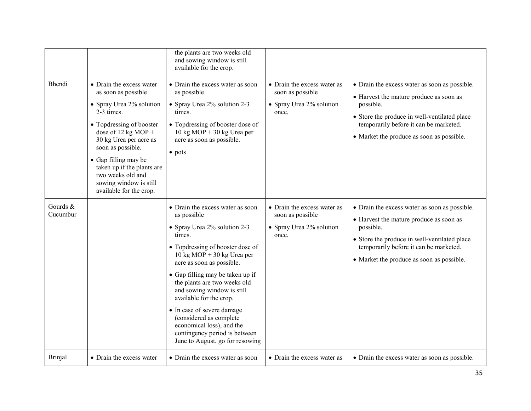| <b>Bhendi</b>        | • Drain the excess water<br>as soon as possible<br>• Spray Urea 2% solution<br>2-3 times.<br>• Topdressing of booster<br>dose of $12$ kg MOP +<br>30 kg Urea per acre as<br>soon as possible.<br>• Gap filling may be<br>taken up if the plants are<br>two weeks old and<br>sowing window is still<br>available for the crop. | the plants are two weeks old<br>and sowing window is still<br>available for the crop.<br>• Drain the excess water as soon<br>as possible<br>• Spray Urea 2% solution 2-3<br>times.<br>• Topdressing of booster dose of<br>$10 \text{ kg MOP} + 30 \text{ kg Urea per}$<br>acre as soon as possible.<br>• pots                                                                                                                                                                                     | • Drain the excess water as<br>soon as possible<br>• Spray Urea 2% solution<br>once. | • Drain the excess water as soon as possible.<br>• Harvest the mature produce as soon as<br>possible.<br>• Store the produce in well-ventilated place<br>temporarily before it can be marketed.<br>• Market the produce as soon as possible. |
|----------------------|-------------------------------------------------------------------------------------------------------------------------------------------------------------------------------------------------------------------------------------------------------------------------------------------------------------------------------|---------------------------------------------------------------------------------------------------------------------------------------------------------------------------------------------------------------------------------------------------------------------------------------------------------------------------------------------------------------------------------------------------------------------------------------------------------------------------------------------------|--------------------------------------------------------------------------------------|----------------------------------------------------------------------------------------------------------------------------------------------------------------------------------------------------------------------------------------------|
| Gourds &<br>Cucumbur |                                                                                                                                                                                                                                                                                                                               | • Drain the excess water as soon<br>as possible<br>• Spray Urea 2% solution 2-3<br>times.<br>• Topdressing of booster dose of<br>$10 \text{ kg MOP} + 30 \text{ kg Urea per}$<br>acre as soon as possible.<br>• Gap filling may be taken up if<br>the plants are two weeks old<br>and sowing window is still<br>available for the crop.<br>• In case of severe damage<br>(considered as complete<br>economical loss), and the<br>contingency period is between<br>June to August, go for resowing | • Drain the excess water as<br>soon as possible<br>• Spray Urea 2% solution<br>once. | • Drain the excess water as soon as possible.<br>• Harvest the mature produce as soon as<br>possible.<br>• Store the produce in well-ventilated place<br>temporarily before it can be marketed.<br>• Market the produce as soon as possible. |
| <b>Brinjal</b>       | • Drain the excess water                                                                                                                                                                                                                                                                                                      | • Drain the excess water as soon                                                                                                                                                                                                                                                                                                                                                                                                                                                                  | • Drain the excess water as                                                          | • Drain the excess water as soon as possible.                                                                                                                                                                                                |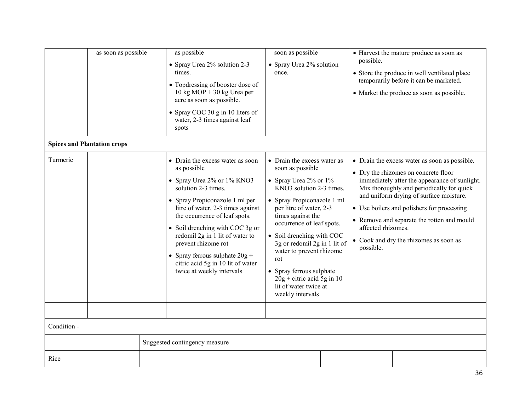|             | as soon as possible<br><b>Spices and Plantation crops</b> | as possible<br>• Spray Urea 2% solution 2-3<br>times.<br>• Topdressing of booster dose of<br>$10 \text{ kg MOP} + 30 \text{ kg Urea per}$<br>acre as soon as possible.<br>• Spray COC 30 g in 10 liters of<br>water, 2-3 times against leaf<br>spots                                                                                                                                                            | soon as possible<br>• Spray Urea 2% solution<br>once.                                                                                                                                                                                                                                                                                                                                                                          | possible.                       | • Harvest the mature produce as soon as<br>• Store the produce in well ventilated place<br>temporarily before it can be marketed.<br>• Market the produce as soon as possible.                                                                                                                                                                                       |
|-------------|-----------------------------------------------------------|-----------------------------------------------------------------------------------------------------------------------------------------------------------------------------------------------------------------------------------------------------------------------------------------------------------------------------------------------------------------------------------------------------------------|--------------------------------------------------------------------------------------------------------------------------------------------------------------------------------------------------------------------------------------------------------------------------------------------------------------------------------------------------------------------------------------------------------------------------------|---------------------------------|----------------------------------------------------------------------------------------------------------------------------------------------------------------------------------------------------------------------------------------------------------------------------------------------------------------------------------------------------------------------|
| Turmeric    |                                                           | • Drain the excess water as soon<br>as possible<br>• Spray Urea 2% or 1% KNO3<br>solution 2-3 times.<br>• Spray Propiconazole 1 ml per<br>litre of water, 2-3 times against<br>the occurrence of leaf spots.<br>• Soil drenching with COC 3g or<br>redomil 2g in 1 lit of water to<br>prevent rhizome rot<br>• Spray ferrous sulphate $20g +$<br>citric acid 5g in 10 lit of water<br>twice at weekly intervals | • Drain the excess water as<br>soon as possible<br>• Spray Urea $2\%$ or $1\%$<br>KNO3 solution 2-3 times.<br>• Spray Propiconazole 1 ml<br>per litre of water, 2-3<br>times against the<br>occurrence of leaf spots.<br>• Soil drenching with COC<br>3g or redomil 2g in 1 lit of<br>water to prevent rhizome<br>rot<br>• Spray ferrous sulphate<br>$20g +$ citric acid 5g in 10<br>lit of water twice at<br>weekly intervals | affected rhizomes.<br>possible. | • Drain the excess water as soon as possible.<br>• Dry the rhizomes on concrete floor<br>immediately after the appearance of sunlight.<br>Mix thoroughly and periodically for quick<br>and uniform drying of surface moisture.<br>• Use boilers and polishers for processing<br>• Remove and separate the rotten and mould<br>• Cook and dry the rhizomes as soon as |
|             |                                                           |                                                                                                                                                                                                                                                                                                                                                                                                                 |                                                                                                                                                                                                                                                                                                                                                                                                                                |                                 |                                                                                                                                                                                                                                                                                                                                                                      |
| Condition - |                                                           |                                                                                                                                                                                                                                                                                                                                                                                                                 |                                                                                                                                                                                                                                                                                                                                                                                                                                |                                 |                                                                                                                                                                                                                                                                                                                                                                      |
|             |                                                           | Suggested contingency measure                                                                                                                                                                                                                                                                                                                                                                                   |                                                                                                                                                                                                                                                                                                                                                                                                                                |                                 |                                                                                                                                                                                                                                                                                                                                                                      |
| Rice        |                                                           |                                                                                                                                                                                                                                                                                                                                                                                                                 |                                                                                                                                                                                                                                                                                                                                                                                                                                |                                 |                                                                                                                                                                                                                                                                                                                                                                      |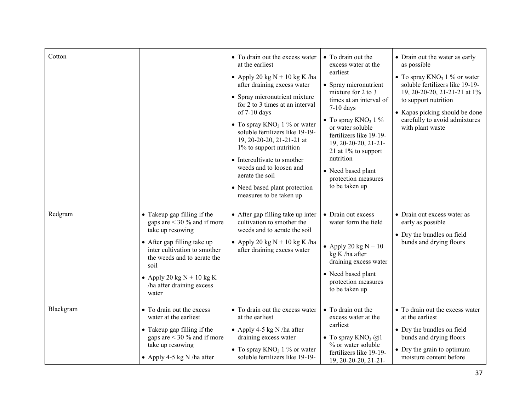| Cotton    |                                                                                                                                                                                                                                                            | • To drain out the excess water<br>at the earliest<br>• Apply 20 kg $N + 10$ kg K/ha<br>after draining excess water<br>• Spray micronutrient mixture<br>for 2 to 3 times at an interval<br>of 7-10 days<br>• To spray $KNO_3$ 1 % or water<br>soluble fertilizers like 19-19-<br>19, 20-20-20, 21-21-21 at<br>1% to support nutrition<br>• Intercultivate to smother<br>weeds and to loosen and<br>aerate the soil<br>• Need based plant protection<br>measures to be taken up | • To drain out the<br>excess water at the<br>earliest<br>• Spray micronutrient<br>mixture for 2 to 3<br>times at an interval of<br>$7-10$ days<br>• To spray $KNO_3$ 1 %<br>or water soluble<br>fertilizers like 19-19-<br>19, 20-20-20, 21-21-<br>21 at 1% to support<br>nutrition<br>• Need based plant<br>protection measures<br>to be taken up | • Drain out the water as early<br>as possible<br>• To spray $KNO_3$ 1 % or water<br>soluble fertilizers like 19-19-<br>19, 20-20-20, 21-21-21 at 1%<br>to support nutrition<br>• Kapas picking should be done<br>carefully to avoid admixtures<br>with plant waste |
|-----------|------------------------------------------------------------------------------------------------------------------------------------------------------------------------------------------------------------------------------------------------------------|--------------------------------------------------------------------------------------------------------------------------------------------------------------------------------------------------------------------------------------------------------------------------------------------------------------------------------------------------------------------------------------------------------------------------------------------------------------------------------|----------------------------------------------------------------------------------------------------------------------------------------------------------------------------------------------------------------------------------------------------------------------------------------------------------------------------------------------------|--------------------------------------------------------------------------------------------------------------------------------------------------------------------------------------------------------------------------------------------------------------------|
| Redgram   | • Takeup gap filling if the<br>gaps are $<$ 30 % and if more<br>take up resowing<br>• After gap filling take up<br>inter cultivation to smother<br>the weeds and to aerate the<br>soil<br>• Apply 20 kg $N + 10$ kg K<br>ha after draining excess<br>water | • After gap filling take up inter<br>cultivation to smother the<br>weeds and to aerate the soil<br>• Apply 20 kg $N + 10$ kg K /ha<br>after draining excess water                                                                                                                                                                                                                                                                                                              | • Drain out excess<br>water form the field<br>• Apply 20 kg $N + 10$<br>kg K /ha after<br>draining excess water<br>• Need based plant<br>protection measures<br>to be taken up                                                                                                                                                                     | • Drain out excess water as<br>early as possible<br>• Dry the bundles on field<br>bunds and drying floors                                                                                                                                                          |
| Blackgram | • To drain out the excess<br>water at the earliest<br>• Takeup gap filling if the<br>gaps are $<$ 30 % and if more<br>take up resowing<br>• Apply 4-5 kg N /ha after                                                                                       | • To drain out the excess water<br>at the earliest<br>• Apply 4-5 kg N /ha after<br>draining excess water<br>• To spray $KNO_3$ 1 % or water<br>soluble fertilizers like 19-19-                                                                                                                                                                                                                                                                                                | • To drain out the<br>excess water at the<br>earliest<br>• To spray $KNO_3$ ( $\widehat{\omega}$ )<br>% or water soluble<br>fertilizers like 19-19-<br>$19, 20 - 20 - 20, 21 - 21$                                                                                                                                                                 | • To drain out the excess water<br>at the earliest<br>• Dry the bundles on field<br>bunds and drying floors<br>• Dry the grain to optimum<br>moisture content before                                                                                               |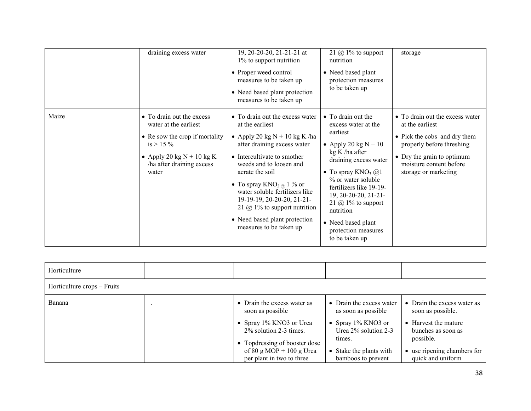|       | draining excess water                                                                                                                                                    | 19, 20-20-20, 21-21-21 at<br>1% to support nutrition<br>• Proper weed control<br>measures to be taken up<br>• Need based plant protection<br>measures to be taken up                                                                                                                                                                                                                                 | 21 $\omega$ 1% to support<br>nutrition<br>• Need based plant<br>protection measures<br>to be taken up                                                                                                                                                                                                                                  | storage                                                                                                                                                                                          |
|-------|--------------------------------------------------------------------------------------------------------------------------------------------------------------------------|------------------------------------------------------------------------------------------------------------------------------------------------------------------------------------------------------------------------------------------------------------------------------------------------------------------------------------------------------------------------------------------------------|----------------------------------------------------------------------------------------------------------------------------------------------------------------------------------------------------------------------------------------------------------------------------------------------------------------------------------------|--------------------------------------------------------------------------------------------------------------------------------------------------------------------------------------------------|
| Maize | • To drain out the excess<br>water at the earliest<br>• Re sow the crop if mortality<br>$is > 15 \%$<br>• Apply 20 kg $N + 10$ kg K<br>ha after draining excess<br>water | • To drain out the excess water<br>at the earliest<br>• Apply 20 kg $N + 10$ kg K /ha<br>after draining excess water<br>• Intercultivate to smother<br>weeds and to loosen and<br>aerate the soil<br>• To spray $KNO_{3\alpha}$ 1 % or<br>water soluble fertilizers like<br>19-19-19, 20-20-20, 21-21-<br>21 $@$ 1% to support nutrition<br>• Need based plant protection<br>measures to be taken up | • To drain out the<br>excess water at the<br>earliest<br>• Apply 20 kg $N + 10$<br>$kg K/ha$ after<br>draining excess water<br>• To spray $KNO_3$ @1<br>% or water soluble<br>fertilizers like 19-19-<br>19, 20-20-20, 21-21-<br>21 $\omega$ 1% to support<br>nutrition<br>• Need based plant<br>protection measures<br>to be taken up | • To drain out the excess water<br>at the earliest<br>• Pick the cobs and dry them<br>properly before threshing<br>• Dry the grain to optimum<br>moisture content before<br>storage or marketing |

| Horticulture                |                                                                                        |                                                            |                                                       |
|-----------------------------|----------------------------------------------------------------------------------------|------------------------------------------------------------|-------------------------------------------------------|
| Horticulture crops – Fruits |                                                                                        |                                                            |                                                       |
| Banana                      | • Drain the excess water as<br>soon as possible                                        | • Drain the excess water<br>as soon as possible            | Drain the excess water as<br>soon as possible.        |
|                             | • Spray 1% KNO3 or Urea<br>2% solution 2-3 times.                                      | • Spray $1\%$ KNO3 or<br>Urea $2\%$ solution 2-3<br>times. | Harvest the mature<br>bunches as soon as<br>possible. |
|                             | • Topdressing of booster dose<br>of 80 g MOP + 100 g Urea<br>per plant in two to three | • Stake the plants with<br>bamboos to prevent              | use ripening chambers for<br>quick and uniform        |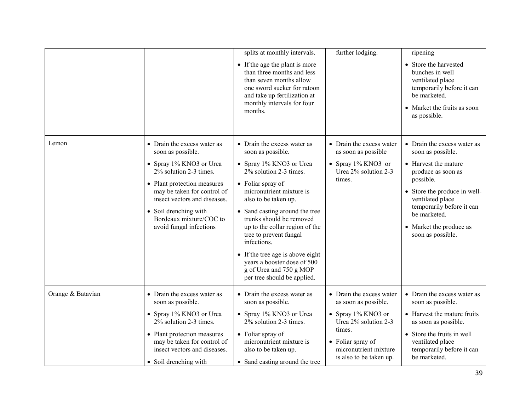|                   |                                                                                                                                                                                                                                                                                    | splits at monthly intervals.<br>• If the age the plant is more<br>than three months and less<br>than seven months allow<br>one sword sucker for ratoon<br>and take up fertilization at<br>monthly intervals for four<br>months.                                                                                                                                                                                                                      | further lodging.                                                                                                                                                                  | ripening<br>• Store the harvested<br>bunches in well<br>ventilated place<br>temporarily before it can<br>be marketed.<br>• Market the fruits as soon<br>as possible.                                                                                         |
|-------------------|------------------------------------------------------------------------------------------------------------------------------------------------------------------------------------------------------------------------------------------------------------------------------------|------------------------------------------------------------------------------------------------------------------------------------------------------------------------------------------------------------------------------------------------------------------------------------------------------------------------------------------------------------------------------------------------------------------------------------------------------|-----------------------------------------------------------------------------------------------------------------------------------------------------------------------------------|--------------------------------------------------------------------------------------------------------------------------------------------------------------------------------------------------------------------------------------------------------------|
| Lemon             | • Drain the excess water as<br>soon as possible.<br>• Spray 1% KNO3 or Urea<br>2% solution 2-3 times.<br>• Plant protection measures<br>may be taken for control of<br>insect vectors and diseases.<br>• Soil drenching with<br>Bordeaux mixture/COC to<br>avoid fungal infections | • Drain the excess water as<br>soon as possible.<br>• Spray 1% KNO3 or Urea<br>2% solution 2-3 times.<br>• Foliar spray of<br>micronutrient mixture is<br>also to be taken up.<br>• Sand casting around the tree<br>trunks should be removed<br>up to the collar region of the<br>tree to prevent fungal<br>infections.<br>• If the tree age is above eight<br>years a booster dose of 500<br>g of Urea and 750 g MOP<br>per tree should be applied. | • Drain the excess water<br>as soon as possible<br>• Spray $1\%$ KNO3 or<br>Urea 2% solution 2-3<br>times.                                                                        | • Drain the excess water as<br>soon as possible.<br>• Harvest the mature<br>produce as soon as<br>possible.<br>• Store the produce in well-<br>ventilated place<br>temporarily before it can<br>be marketed.<br>• Market the produce as<br>soon as possible. |
| Orange & Batavian | • Drain the excess water as<br>soon as possible.<br>• Spray 1% KNO3 or Urea<br>2% solution 2-3 times.<br>• Plant protection measures<br>may be taken for control of<br>insect vectors and diseases.<br>• Soil drenching with                                                       | • Drain the excess water as<br>soon as possible.<br>• Spray 1% KNO3 or Urea<br>2% solution 2-3 times.<br>$\bullet$ Foliar spray of<br>micronutrient mixture is<br>also to be taken up.<br>• Sand casting around the tree                                                                                                                                                                                                                             | • Drain the excess water<br>as soon as possible.<br>• Spray 1% KNO3 or<br>Urea 2% solution 2-3<br>times.<br>• Foliar spray of<br>micronutrient mixture<br>is also to be taken up. | • Drain the excess water as<br>soon as possible.<br>• Harvest the mature fruits<br>as soon as possible.<br>• Store the fruits in well<br>ventilated place<br>temporarily before it can<br>be marketed.                                                       |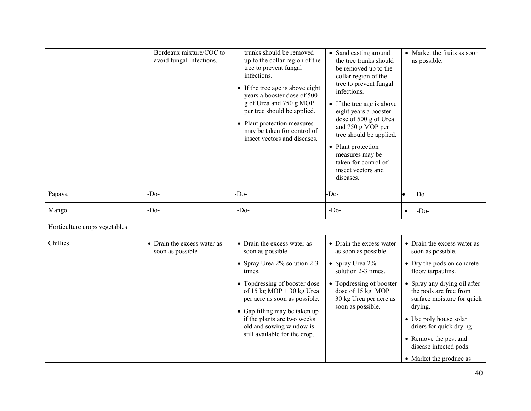|                               | Bordeaux mixture/COC to<br>avoid fungal infections. | trunks should be removed<br>up to the collar region of the<br>tree to prevent fungal<br>infections.<br>• If the tree age is above eight<br>years a booster dose of 500<br>g of Urea and 750 g MOP<br>per tree should be applied.<br>• Plant protection measures<br>may be taken for control of<br>insect vectors and diseases. | • Sand casting around<br>the tree trunks should<br>be removed up to the<br>collar region of the<br>tree to prevent fungal<br>infections.<br>• If the tree age is above<br>eight years a booster<br>dose of 500 g of Urea<br>and 750 g MOP per<br>tree should be applied.<br>• Plant protection<br>measures may be<br>taken for control of<br>insect vectors and<br>diseases. | • Market the fruits as soon<br>as possible.                                                                                                                                                                                                                                                                                               |
|-------------------------------|-----------------------------------------------------|--------------------------------------------------------------------------------------------------------------------------------------------------------------------------------------------------------------------------------------------------------------------------------------------------------------------------------|------------------------------------------------------------------------------------------------------------------------------------------------------------------------------------------------------------------------------------------------------------------------------------------------------------------------------------------------------------------------------|-------------------------------------------------------------------------------------------------------------------------------------------------------------------------------------------------------------------------------------------------------------------------------------------------------------------------------------------|
| Papaya                        | $-Do-$                                              | $-Do-$                                                                                                                                                                                                                                                                                                                         | $-Do$                                                                                                                                                                                                                                                                                                                                                                        | $-Do-$                                                                                                                                                                                                                                                                                                                                    |
| Mango                         | $-D0$                                               | $-Do-$                                                                                                                                                                                                                                                                                                                         | $-D0$                                                                                                                                                                                                                                                                                                                                                                        | $-Do-$<br>$\bullet$                                                                                                                                                                                                                                                                                                                       |
| Horticulture crops vegetables |                                                     |                                                                                                                                                                                                                                                                                                                                |                                                                                                                                                                                                                                                                                                                                                                              |                                                                                                                                                                                                                                                                                                                                           |
| Chillies                      | • Drain the excess water as<br>soon as possible     | • Drain the excess water as<br>soon as possible<br>• Spray Urea 2% solution 2-3<br>times.<br>• Topdressing of booster dose<br>of 15 kg MOP + 30 kg Urea<br>per acre as soon as possible.<br>• Gap filling may be taken up<br>if the plants are two weeks<br>old and sowing window is<br>still available for the crop.          | • Drain the excess water<br>as soon as possible<br>• Spray Urea 2%<br>solution 2-3 times.<br>• Topdressing of booster<br>dose of 15 kg MOP +<br>30 kg Urea per acre as<br>soon as possible.                                                                                                                                                                                  | • Drain the excess water as<br>soon as possible.<br>• Dry the pods on concrete<br>floor/tarpaulins.<br>• Spray any drying oil after<br>the pods are free from<br>surface moisture for quick<br>drying.<br>• Use poly house solar<br>driers for quick drying<br>• Remove the pest and<br>disease infected pods.<br>• Market the produce as |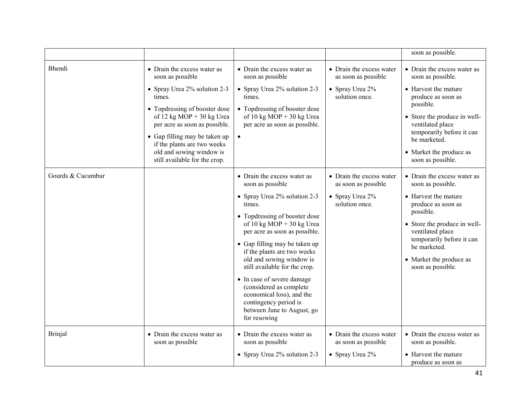|                   |                                                                                                                                                                                                                                                                                                                         |                                                                                                                                                                                                                                                                                                                                                                                                                                                                                    |                                                                                      | soon as possible.                                                                                                                                                                                                                                            |
|-------------------|-------------------------------------------------------------------------------------------------------------------------------------------------------------------------------------------------------------------------------------------------------------------------------------------------------------------------|------------------------------------------------------------------------------------------------------------------------------------------------------------------------------------------------------------------------------------------------------------------------------------------------------------------------------------------------------------------------------------------------------------------------------------------------------------------------------------|--------------------------------------------------------------------------------------|--------------------------------------------------------------------------------------------------------------------------------------------------------------------------------------------------------------------------------------------------------------|
| Bhendi            | • Drain the excess water as<br>soon as possible<br>• Spray Urea 2% solution 2-3<br>times.<br>• Topdressing of booster dose<br>of $12$ kg MOP + 30 kg Urea<br>per acre as soon as possible.<br>• Gap filling may be taken up<br>if the plants are two weeks<br>old and sowing window is<br>still available for the crop. | • Drain the excess water as<br>soon as possible<br>• Spray Urea 2% solution 2-3<br>times.<br>• Topdressing of booster dose<br>of 10 kg MOP + 30 kg Urea<br>per acre as soon as possible.                                                                                                                                                                                                                                                                                           | • Drain the excess water<br>as soon as possible<br>• Spray Urea 2%<br>solution once. | • Drain the excess water as<br>soon as possible.<br>• Harvest the mature<br>produce as soon as<br>possible.<br>• Store the produce in well-<br>ventilated place<br>temporarily before it can<br>be marketed.<br>• Market the produce as<br>soon as possible. |
| Gourds & Cucumbur |                                                                                                                                                                                                                                                                                                                         | • Drain the excess water as<br>soon as possible<br>• Spray Urea 2% solution 2-3<br>times.<br>• Topdressing of booster dose<br>of 10 kg MOP + 30 kg Urea<br>per acre as soon as possible.<br>• Gap filling may be taken up<br>if the plants are two weeks<br>old and sowing window is<br>still available for the crop.<br>• In case of severe damage<br>(considered as complete<br>economical loss), and the<br>contingency period is<br>between June to August, go<br>for resowing | • Drain the excess water<br>as soon as possible<br>• Spray Urea 2%<br>solution once. | • Drain the excess water as<br>soon as possible.<br>• Harvest the mature<br>produce as soon as<br>possible.<br>• Store the produce in well-<br>ventilated place<br>temporarily before it can<br>be marketed.<br>• Market the produce as<br>soon as possible. |
| <b>Brinjal</b>    | • Drain the excess water as<br>soon as possible                                                                                                                                                                                                                                                                         | • Drain the excess water as<br>soon as possible<br>• Spray Urea 2% solution 2-3                                                                                                                                                                                                                                                                                                                                                                                                    | • Drain the excess water<br>as soon as possible<br>• Spray Urea 2%                   | • Drain the excess water as<br>soon as possible.<br>• Harvest the mature<br>produce as soon as                                                                                                                                                               |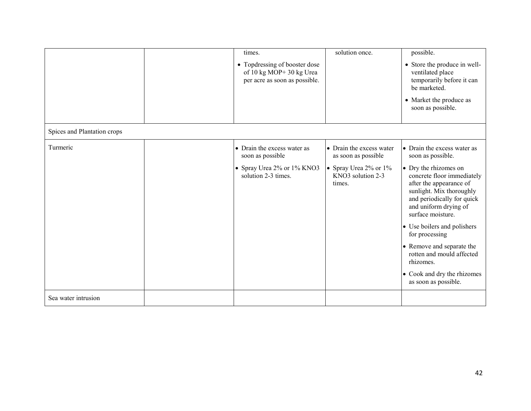|                             | times.<br>• Topdressing of booster dose<br>of 10 kg MOP+30 kg Urea<br>per acre as soon as possible.  | solution once.                                                                                          | possible.<br>• Store the produce in well-<br>ventilated place<br>temporarily before it can<br>be marketed.<br>• Market the produce as<br>soon as possible.                                                                                                                                                                                                                                                                |
|-----------------------------|------------------------------------------------------------------------------------------------------|---------------------------------------------------------------------------------------------------------|---------------------------------------------------------------------------------------------------------------------------------------------------------------------------------------------------------------------------------------------------------------------------------------------------------------------------------------------------------------------------------------------------------------------------|
| Spices and Plantation crops |                                                                                                      |                                                                                                         |                                                                                                                                                                                                                                                                                                                                                                                                                           |
| Turmeric                    | • Drain the excess water as<br>soon as possible<br>• Spray Urea 2% or 1% KNO3<br>solution 2-3 times. | • Drain the excess water<br>as soon as possible<br>• Spray Urea 2% or 1%<br>KNO3 solution 2-3<br>times. | • Drain the excess water as<br>soon as possible.<br>• Dry the rhizomes on<br>concrete floor immediately<br>after the appearance of<br>sunlight. Mix thoroughly<br>and periodically for quick<br>and uniform drying of<br>surface moisture.<br>• Use boilers and polishers<br>for processing<br>• Remove and separate the<br>rotten and mould affected<br>rhizomes.<br>• Cook and dry the rhizomes<br>as soon as possible. |
| Sea water intrusion         |                                                                                                      |                                                                                                         |                                                                                                                                                                                                                                                                                                                                                                                                                           |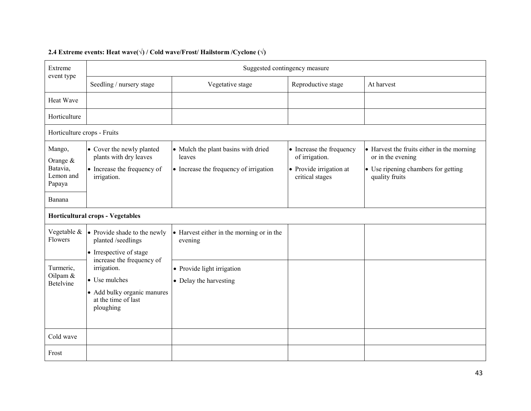| Extreme                                                 | Suggested contingency measure                                                                                                |                                                                                         |                                                                                          |                                                                                                                          |  |
|---------------------------------------------------------|------------------------------------------------------------------------------------------------------------------------------|-----------------------------------------------------------------------------------------|------------------------------------------------------------------------------------------|--------------------------------------------------------------------------------------------------------------------------|--|
| event type                                              | Seedling / nursery stage                                                                                                     | Vegetative stage                                                                        | Reproductive stage                                                                       | At harvest                                                                                                               |  |
| Heat Wave                                               |                                                                                                                              |                                                                                         |                                                                                          |                                                                                                                          |  |
| Horticulture                                            |                                                                                                                              |                                                                                         |                                                                                          |                                                                                                                          |  |
| Horticulture crops - Fruits                             |                                                                                                                              |                                                                                         |                                                                                          |                                                                                                                          |  |
| Mango,<br>Orange $&$<br>Batavia,<br>Lemon and<br>Papaya | • Cover the newly planted<br>plants with dry leaves<br>• Increase the frequency of<br>irrigation.                            | • Mulch the plant basins with dried<br>leaves<br>• Increase the frequency of irrigation | • Increase the frequency<br>of irrigation.<br>• Provide irrigation at<br>critical stages | • Harvest the fruits either in the morning<br>or in the evening<br>• Use ripening chambers for getting<br>quality fruits |  |
| Banana                                                  |                                                                                                                              |                                                                                         |                                                                                          |                                                                                                                          |  |
|                                                         | <b>Horticultural crops - Vegetables</b>                                                                                      |                                                                                         |                                                                                          |                                                                                                                          |  |
| Vegetable &<br>Flowers                                  | • Provide shade to the newly<br>planted /seedlings<br>• Irrespective of stage                                                | • Harvest either in the morning or in the<br>evening                                    |                                                                                          |                                                                                                                          |  |
| Turmeric,<br>Oilpam &<br><b>Betelvine</b>               | increase the frequency of<br>irrigation.<br>• Use mulches<br>• Add bulky organic manures<br>at the time of last<br>ploughing | • Provide light irrigation<br>• Delay the harvesting                                    |                                                                                          |                                                                                                                          |  |
| Cold wave                                               |                                                                                                                              |                                                                                         |                                                                                          |                                                                                                                          |  |
| Frost                                                   |                                                                                                                              |                                                                                         |                                                                                          |                                                                                                                          |  |

## 2.4 Extreme events: Heat wave( $\forall$ ) / Cold wave/Frost/ Hailstorm /Cyclone ( $\forall$ )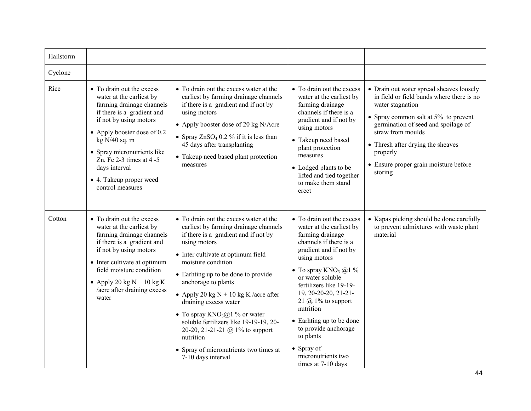| Hailstorm |                                                                                                                                                                                                                                                                                                                            |                                                                                                                                                                                                                                                                                                                                                                                                                                                                                                                                     |                                                                                                                                                                                                                                                                                                                                                                                                                              |                                                                                                                                                                                                                                                                                                                       |
|-----------|----------------------------------------------------------------------------------------------------------------------------------------------------------------------------------------------------------------------------------------------------------------------------------------------------------------------------|-------------------------------------------------------------------------------------------------------------------------------------------------------------------------------------------------------------------------------------------------------------------------------------------------------------------------------------------------------------------------------------------------------------------------------------------------------------------------------------------------------------------------------------|------------------------------------------------------------------------------------------------------------------------------------------------------------------------------------------------------------------------------------------------------------------------------------------------------------------------------------------------------------------------------------------------------------------------------|-----------------------------------------------------------------------------------------------------------------------------------------------------------------------------------------------------------------------------------------------------------------------------------------------------------------------|
| Cyclone   |                                                                                                                                                                                                                                                                                                                            |                                                                                                                                                                                                                                                                                                                                                                                                                                                                                                                                     |                                                                                                                                                                                                                                                                                                                                                                                                                              |                                                                                                                                                                                                                                                                                                                       |
| Rice      | • To drain out the excess<br>water at the earliest by<br>farming drainage channels<br>if there is a gradient and<br>if not by using motors<br>• Apply booster dose of $0.2$<br>kg N/40 sq. m<br>• Spray micronutrients like<br>Zn, Fe $2-3$ times at $4-5$<br>days interval<br>• 4. Takeup proper weed<br>control measures | • To drain out the excess water at the<br>earliest by farming drainage channels<br>if there is a gradient and if not by<br>using motors<br>• Apply booster dose of 20 kg N/Acre<br>• Spray $ZnSO_4$ 0.2 % if it is less than<br>45 days after transplanting<br>• Takeup need based plant protection<br>measures                                                                                                                                                                                                                     | • To drain out the excess<br>water at the earliest by<br>farming drainage<br>channels if there is a<br>gradient and if not by<br>using motors<br>• Takeup need based<br>plant protection<br>measures<br>• Lodged plants to be<br>lifted and tied together<br>to make them stand<br>erect                                                                                                                                     | • Drain out water spread sheaves loosely<br>in field or field bunds where there is no<br>water stagnation<br>• Spray common salt at $5\%$ to prevent<br>germination of seed and spoilage of<br>straw from moulds<br>• Thresh after drying the sheaves<br>properly<br>• Ensure proper grain moisture before<br>storing |
| Cotton    | • To drain out the excess<br>water at the earliest by<br>farming drainage channels<br>if there is a gradient and<br>if not by using motors<br>• Inter cultivate at optimum<br>field moisture condition<br>• Apply 20 kg $N + 10$ kg K<br>/acre after draining excess<br>water                                              | • To drain out the excess water at the<br>earliest by farming drainage channels<br>if there is a gradient and if not by<br>using motors<br>• Inter cultivate at optimum field<br>moisture condition<br>• Earhting up to be done to provide<br>anchorage to plants<br>• Apply 20 kg $N + 10$ kg K /acre after<br>draining excess water<br>• To spray $KNO_3(a)$ % or water<br>soluble fertilizers like 19-19-19, 20-<br>20-20, 21-21-21 @ 1% to support<br>nutrition<br>• Spray of micronutrients two times at<br>7-10 days interval | • To drain out the excess<br>water at the earliest by<br>farming drainage<br>channels if there is a<br>gradient and if not by<br>using motors<br>• To spray $KNO_3$ @1 %<br>or water soluble<br>fertilizers like 19-19-<br>19, 20-20-20, 21-21-<br>21 $\omega$ 1% to support<br>nutrition<br>• Earhting up to be done<br>to provide anchorage<br>to plants<br>$\bullet$ Spray of<br>micronutrients two<br>times at 7-10 days | • Kapas picking should be done carefully<br>to prevent admixtures with waste plant<br>material                                                                                                                                                                                                                        |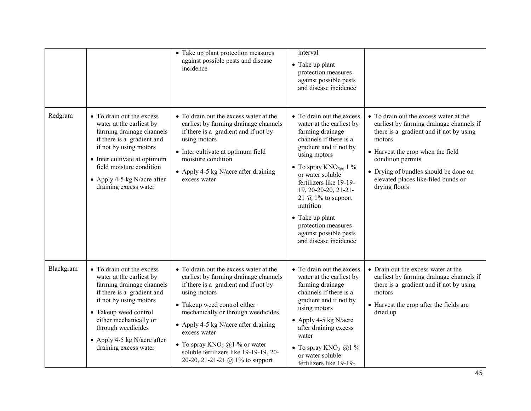|           |                                                                                                                                                                                                                                                                             | • Take up plant protection measures<br>against possible pests and disease<br>incidence                                                                                                                                                                                                                                                                                                 | interval<br>• Take up plant<br>protection measures<br>against possible pests<br>and disease incidence                                                                                                                                                                                                                                                                                     |                                                                                                                                                                                                                                                                                                    |
|-----------|-----------------------------------------------------------------------------------------------------------------------------------------------------------------------------------------------------------------------------------------------------------------------------|----------------------------------------------------------------------------------------------------------------------------------------------------------------------------------------------------------------------------------------------------------------------------------------------------------------------------------------------------------------------------------------|-------------------------------------------------------------------------------------------------------------------------------------------------------------------------------------------------------------------------------------------------------------------------------------------------------------------------------------------------------------------------------------------|----------------------------------------------------------------------------------------------------------------------------------------------------------------------------------------------------------------------------------------------------------------------------------------------------|
| Redgram   | • To drain out the excess<br>water at the earliest by<br>farming drainage channels<br>if there is a gradient and<br>if not by using motors<br>• Inter cultivate at optimum<br>field moisture condition<br>• Apply 4-5 kg N/acre after<br>draining excess water              | • To drain out the excess water at the<br>earliest by farming drainage channels<br>if there is a gradient and if not by<br>using motors<br>• Inter cultivate at optimum field<br>moisture condition<br>• Apply 4-5 kg N/acre after draining<br>excess water                                                                                                                            | • To drain out the excess<br>water at the earliest by<br>farming drainage<br>channels if there is a<br>gradient and if not by<br>using motors<br>• To spray $KNO_{3@} 1 \%$<br>or water soluble<br>fertilizers like 19-19-<br>19, 20-20-20, 21-21-<br>21 $\omega$ 1% to support<br>nutrition<br>• Take up plant<br>protection measures<br>against possible pests<br>and disease incidence | • To drain out the excess water at the<br>earliest by farming drainage channels if<br>there is a gradient and if not by using<br>motors<br>• Harvest the crop when the field<br>condition permits<br>• Drying of bundles should be done on<br>elevated places like filed bunds or<br>drying floors |
| Blackgram | • To drain out the excess<br>water at the earliest by<br>farming drainage channels<br>if there is a gradient and<br>if not by using motors<br>• Takeup weed control<br>either mechanically or<br>through weedicides<br>• Apply 4-5 kg N/acre after<br>draining excess water | • To drain out the excess water at the<br>earliest by farming drainage channels<br>if there is a gradient and if not by<br>using motors<br>• Takeup weed control either<br>mechanically or through weedicides<br>• Apply 4-5 kg N/acre after draining<br>excess water<br>• To spray $KNO_3$ @1 % or water<br>soluble fertilizers like 19-19-19, 20-<br>20-20, 21-21-21 @ 1% to support | • To drain out the excess<br>water at the earliest by<br>farming drainage<br>channels if there is a<br>gradient and if not by<br>using motors<br>• Apply 4-5 kg N/acre<br>after draining excess<br>water<br>• To spray $KNO_3$ @1 %<br>or water soluble<br>fertilizers like 19-19-                                                                                                        | • Drain out the excess water at the<br>earliest by farming drainage channels if<br>there is a gradient and if not by using<br>motors<br>• Harvest the crop after the fields are<br>dried up                                                                                                        |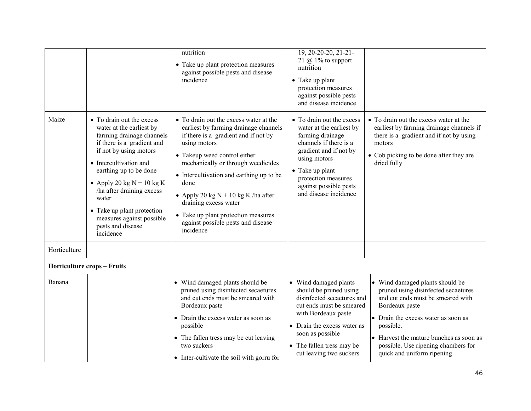|              |                                                                                                                                                                                                                                                                                                                                                                 | nutrition<br>• Take up plant protection measures<br>against possible pests and disease<br>incidence                                                                                                                                                                                                                                                                                                                           | $19, 20 - 20 - 20, 21 - 21$<br>21 $\omega$ 1% to support<br>nutrition<br>• Take up plant<br>protection measures<br>against possible pests<br>and disease incidence                                                                          |                                                                                                                                                                                                                                                                                                 |
|--------------|-----------------------------------------------------------------------------------------------------------------------------------------------------------------------------------------------------------------------------------------------------------------------------------------------------------------------------------------------------------------|-------------------------------------------------------------------------------------------------------------------------------------------------------------------------------------------------------------------------------------------------------------------------------------------------------------------------------------------------------------------------------------------------------------------------------|---------------------------------------------------------------------------------------------------------------------------------------------------------------------------------------------------------------------------------------------|-------------------------------------------------------------------------------------------------------------------------------------------------------------------------------------------------------------------------------------------------------------------------------------------------|
| Maize        | • To drain out the excess<br>water at the earliest by<br>farming drainage channels<br>if there is a gradient and<br>if not by using motors<br>• Intercultivation and<br>earthing up to be done<br>• Apply 20 kg $N + 10$ kg K<br>ha after draining excess<br>water<br>• Take up plant protection<br>measures against possible<br>pests and disease<br>incidence | • To drain out the excess water at the<br>earliest by farming drainage channels<br>if there is a gradient and if not by<br>using motors<br>• Takeup weed control either<br>mechanically or through weedicides<br>• Intercultivation and earthing up to be<br>done<br>• Apply 20 kg $N + 10$ kg K /ha after<br>draining excess water<br>• Take up plant protection measures<br>against possible pests and disease<br>incidence | • To drain out the excess<br>water at the earliest by<br>farming drainage<br>channels if there is a<br>gradient and if not by<br>using motors<br>• Take up plant<br>protection measures<br>against possible pests<br>and disease incidence  | • To drain out the excess water at the<br>earliest by farming drainage channels if<br>there is a gradient and if not by using<br>motors<br>• Cob picking to be done after they are<br>dried fully                                                                                               |
| Horticulture |                                                                                                                                                                                                                                                                                                                                                                 |                                                                                                                                                                                                                                                                                                                                                                                                                               |                                                                                                                                                                                                                                             |                                                                                                                                                                                                                                                                                                 |
|              | <b>Horticulture crops - Fruits</b>                                                                                                                                                                                                                                                                                                                              |                                                                                                                                                                                                                                                                                                                                                                                                                               |                                                                                                                                                                                                                                             |                                                                                                                                                                                                                                                                                                 |
| Banana       |                                                                                                                                                                                                                                                                                                                                                                 | • Wind damaged plants should be<br>pruned using disinfected secaetures<br>and cut ends must be smeared with<br>Bordeaux paste<br>• Drain the excess water as soon as<br>possible<br>• The fallen tress may be cut leaving<br>two suckers<br>• Inter-cultivate the soil with gorru for                                                                                                                                         | • Wind damaged plants<br>should be pruned using<br>disinfected secaetures and<br>cut ends must be smeared<br>with Bordeaux paste<br>• Drain the excess water as<br>soon as possible<br>• The fallen tress may be<br>cut leaving two suckers | Wind damaged plants should be<br>pruned using disinfected secaetures<br>and cut ends must be smeared with<br>Bordeaux paste<br>• Drain the excess water as soon as<br>possible.<br>• Harvest the mature bunches as soon as<br>possible. Use ripening chambers for<br>quick and uniform ripening |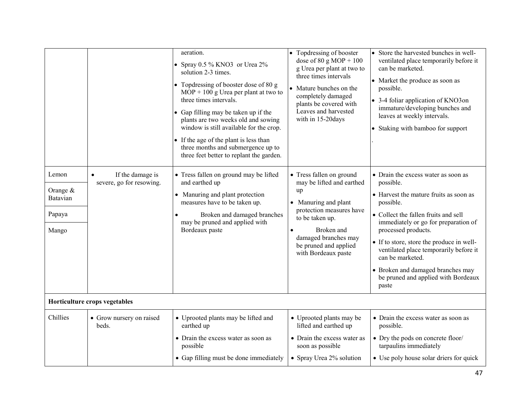|                                                    |                                                           | aeration.<br>• Spray $0.5\%$ KNO3 or Urea $2\%$<br>solution 2-3 times.<br>• Topdressing of booster dose of 80 g<br>$MOP + 100$ g Urea per plant at two to<br>three times intervals.<br>• Gap filling may be taken up if the<br>plants are two weeks old and sowing<br>window is still available for the crop.<br>• If the age of the plant is less than<br>three months and submergence up to<br>three feet better to replant the garden. | • Topdressing of booster<br>dose of $80 \text{ g MOP} + 100$<br>g Urea per plant at two to<br>three times intervals<br>Mature bunches on the<br>completely damaged<br>plants be covered with<br>Leaves and harvested<br>with in 15-20days | • Store the harvested bunches in well-<br>ventilated place temporarily before it<br>can be marketed.<br>• Market the produce as soon as<br>possible.<br>• 3-4 foliar application of KNO3on<br>immature/developing bunches and<br>leaves at weekly intervals.<br>• Staking with bamboo for support                                                                                                              |  |  |
|----------------------------------------------------|-----------------------------------------------------------|-------------------------------------------------------------------------------------------------------------------------------------------------------------------------------------------------------------------------------------------------------------------------------------------------------------------------------------------------------------------------------------------------------------------------------------------|-------------------------------------------------------------------------------------------------------------------------------------------------------------------------------------------------------------------------------------------|----------------------------------------------------------------------------------------------------------------------------------------------------------------------------------------------------------------------------------------------------------------------------------------------------------------------------------------------------------------------------------------------------------------|--|--|
| Lemon<br>Orange $&$<br>Batavian<br>Papaya<br>Mango | If the damage is<br>$\bullet$<br>severe, go for resowing. | • Tress fallen on ground may be lifted<br>and earthed up<br>• Manuring and plant protection<br>measures have to be taken up.<br>Broken and damaged branches<br>may be pruned and applied with<br>Bordeaux paste                                                                                                                                                                                                                           | • Tress fallen on ground<br>may be lifted and earthed<br>up<br>• Manuring and plant<br>protection measures have<br>to be taken up.<br>Broken and<br>damaged branches may<br>be pruned and applied<br>with Bordeaux paste                  | • Drain the excess water as soon as<br>possible.<br>• Harvest the mature fruits as soon as<br>possible.<br>• Collect the fallen fruits and sell<br>immediately or go for preparation of<br>processed products.<br>• If to store, store the produce in well-<br>ventilated place temporarily before it<br>can be marketed.<br>• Broken and damaged branches may<br>be pruned and applied with Bordeaux<br>paste |  |  |
| Horticulture crops vegetables                      |                                                           |                                                                                                                                                                                                                                                                                                                                                                                                                                           |                                                                                                                                                                                                                                           |                                                                                                                                                                                                                                                                                                                                                                                                                |  |  |
| Chillies                                           | • Grow nursery on raised<br>beds.                         | • Uprooted plants may be lifted and<br>earthed up<br>• Drain the excess water as soon as<br>possible<br>• Gap filling must be done immediately                                                                                                                                                                                                                                                                                            | • Uprooted plants may be<br>lifted and earthed up<br>• Drain the excess water as<br>soon as possible<br>• Spray Urea 2% solution                                                                                                          | • Drain the excess water as soon as<br>possible.<br>• Dry the pods on concrete floor/<br>tarpaulins immediately<br>• Use poly house solar driers for quick                                                                                                                                                                                                                                                     |  |  |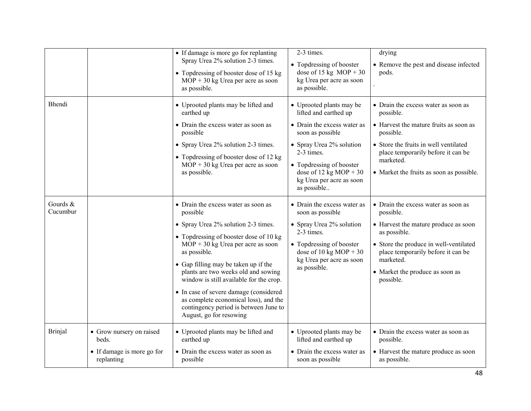|                      |                                                                               | • If damage is more go for replanting<br>Spray Urea 2% solution 2-3 times.<br>• Topdressing of booster dose of 15 kg<br>$MOP + 30$ kg Urea per acre as soon<br>as possible.                                                                                                                                                                                                                                                                                              | 2-3 times.<br>• Topdressing of booster<br>dose of 15 kg $MOP + 30$<br>kg Urea per acre as soon<br>as possible.                                                                                                                                  | drying<br>• Remove the pest and disease infected<br>pods.                                                                                                                                                                                             |
|----------------------|-------------------------------------------------------------------------------|--------------------------------------------------------------------------------------------------------------------------------------------------------------------------------------------------------------------------------------------------------------------------------------------------------------------------------------------------------------------------------------------------------------------------------------------------------------------------|-------------------------------------------------------------------------------------------------------------------------------------------------------------------------------------------------------------------------------------------------|-------------------------------------------------------------------------------------------------------------------------------------------------------------------------------------------------------------------------------------------------------|
| Bhendi               |                                                                               | • Uprooted plants may be lifted and<br>earthed up<br>• Drain the excess water as soon as<br>possible<br>• Spray Urea 2% solution 2-3 times.<br>• Topdressing of booster dose of 12 kg<br>$MOP + 30$ kg Urea per acre as soon<br>as possible.                                                                                                                                                                                                                             | • Uprooted plants may be<br>lifted and earthed up<br>• Drain the excess water as<br>soon as possible<br>• Spray Urea 2% solution<br>2-3 times.<br>• Topdressing of booster<br>dose of 12 kg MOP + 30<br>kg Urea per acre as soon<br>as possible | • Drain the excess water as soon as<br>possible.<br>• Harvest the mature fruits as soon as<br>possible.<br>• Store the fruits in well ventilated<br>place temporarily before it can be<br>marketed.<br>• Market the fruits as soon as possible.       |
| Gourds &<br>Cucumbur |                                                                               | • Drain the excess water as soon as<br>possible<br>• Spray Urea 2% solution 2-3 times.<br>• Topdressing of booster dose of 10 kg<br>$MOP + 30$ kg Urea per acre as soon<br>as possible.<br>• Gap filling may be taken up if the<br>plants are two weeks old and sowing<br>window is still available for the crop.<br>• In case of severe damage (considered<br>as complete economical loss), and the<br>contingency period is between June to<br>August, go for resowing | • Drain the excess water as<br>soon as possible<br>• Spray Urea 2% solution<br>2-3 times.<br>• Topdressing of booster<br>dose of 10 kg MOP + 30<br>kg Urea per acre as soon<br>as possible.                                                     | • Drain the excess water as soon as<br>possible.<br>• Harvest the mature produce as soon<br>as possible.<br>• Store the produce in well-ventilated<br>place temporarily before it can be<br>marketed.<br>• Market the produce as soon as<br>possible. |
| <b>Brinjal</b>       | • Grow nursery on raised<br>beds.<br>• If damage is more go for<br>replanting | • Uprooted plants may be lifted and<br>earthed up<br>• Drain the excess water as soon as<br>possible                                                                                                                                                                                                                                                                                                                                                                     | • Uprooted plants may be<br>lifted and earthed up<br>• Drain the excess water as<br>soon as possible                                                                                                                                            | • Drain the excess water as soon as<br>possible.<br>• Harvest the mature produce as soon<br>as possible.                                                                                                                                              |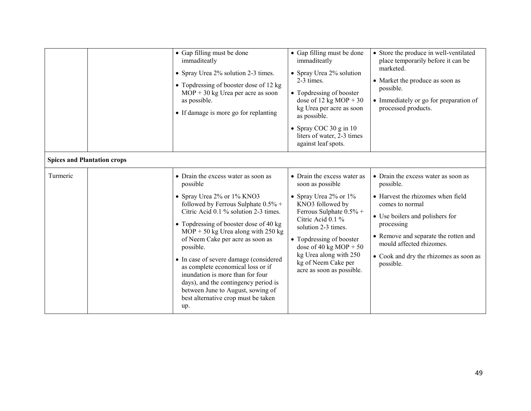|                                    | • Gap filling must be done<br>immaditeatly<br>• Spray Urea 2% solution 2-3 times.<br>• Topdressing of booster dose of 12 kg<br>$MOP + 30$ kg Urea per acre as soon<br>as possible.<br>• If damage is more go for replanting                                                                                                                                                                                                                                                                                                                    | • Gap filling must be done<br>• Store the produce in well-ventilated<br>immaditeatly<br>place temporarily before it can be<br>marketed.<br>• Spray Urea 2% solution<br>2-3 times.<br>• Market the produce as soon as<br>possible.<br>• Topdressing of booster<br>dose of 12 kg MOP + 30<br>• Immediately or go for preparation of<br>processed products.<br>kg Urea per acre as soon<br>as possible.<br>• Spray COC 30 $g$ in 10<br>liters of water, 2-3 times<br>against leaf spots.                                                                                                             |  |
|------------------------------------|------------------------------------------------------------------------------------------------------------------------------------------------------------------------------------------------------------------------------------------------------------------------------------------------------------------------------------------------------------------------------------------------------------------------------------------------------------------------------------------------------------------------------------------------|---------------------------------------------------------------------------------------------------------------------------------------------------------------------------------------------------------------------------------------------------------------------------------------------------------------------------------------------------------------------------------------------------------------------------------------------------------------------------------------------------------------------------------------------------------------------------------------------------|--|
| <b>Spices and Plantation crops</b> |                                                                                                                                                                                                                                                                                                                                                                                                                                                                                                                                                |                                                                                                                                                                                                                                                                                                                                                                                                                                                                                                                                                                                                   |  |
| Turmeric                           | • Drain the excess water as soon as<br>possible<br>• Spray Urea 2% or 1% KNO3<br>followed by Ferrous Sulphate 0.5% +<br>Citric Acid 0.1 % solution 2-3 times.<br>• Topdressing of booster dose of 40 kg<br>$MOP + 50$ kg Urea along with 250 kg<br>of Neem Cake per acre as soon as<br>possible.<br>• In case of severe damage (considered<br>as complete economical loss or if<br>inundation is more than for four<br>days), and the contingency period is<br>between June to August, sowing of<br>best alternative crop must be taken<br>up. | • Drain the excess water as<br>• Drain the excess water as soon as<br>soon as possible<br>possible.<br>• Spray Urea 2% or 1%<br>• Harvest the rhizomes when field<br>KNO3 followed by<br>comes to normal<br>Ferrous Sulphate 0.5% +<br>• Use boilers and polishers for<br>Citric Acid 0.1 %<br>processing<br>solution 2-3 times.<br>• Remove and separate the rotten and<br>• Topdressing of booster<br>mould affected rhizomes.<br>dose of 40 kg MOP + $50$<br>kg Urea along with 250<br>• Cook and dry the rhizomes as soon as<br>kg of Neem Cake per<br>possible.<br>acre as soon as possible. |  |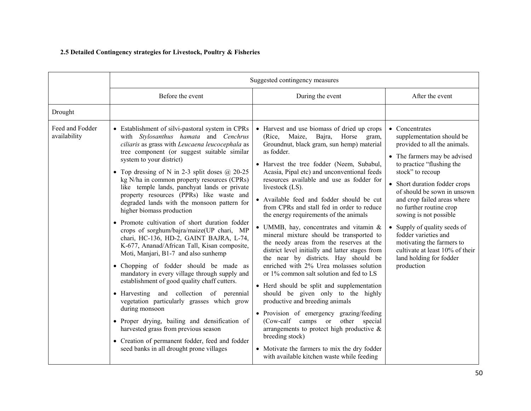# 2.5 Detailed Contingency strategies for Livestock, Poultry & Fisheries

|                                 | Suggested contingency measures                                                                                                                                                                                                                                                                                                                                                                                                                                                                                                                                                                                                                                                                                                                                                                                                                                                                                                                                                                                                                                                                                                                                                      |                                                                                                                                                                                                                                                                                                                                                                                                                                                                                                                                                                                                                                                                                                                                                                                                                                                                                                                                                                                                                                                                                                                                                |                                                                                                                                                                                                                                                                                                                                                                                                                                                                               |
|---------------------------------|-------------------------------------------------------------------------------------------------------------------------------------------------------------------------------------------------------------------------------------------------------------------------------------------------------------------------------------------------------------------------------------------------------------------------------------------------------------------------------------------------------------------------------------------------------------------------------------------------------------------------------------------------------------------------------------------------------------------------------------------------------------------------------------------------------------------------------------------------------------------------------------------------------------------------------------------------------------------------------------------------------------------------------------------------------------------------------------------------------------------------------------------------------------------------------------|------------------------------------------------------------------------------------------------------------------------------------------------------------------------------------------------------------------------------------------------------------------------------------------------------------------------------------------------------------------------------------------------------------------------------------------------------------------------------------------------------------------------------------------------------------------------------------------------------------------------------------------------------------------------------------------------------------------------------------------------------------------------------------------------------------------------------------------------------------------------------------------------------------------------------------------------------------------------------------------------------------------------------------------------------------------------------------------------------------------------------------------------|-------------------------------------------------------------------------------------------------------------------------------------------------------------------------------------------------------------------------------------------------------------------------------------------------------------------------------------------------------------------------------------------------------------------------------------------------------------------------------|
|                                 | Before the event                                                                                                                                                                                                                                                                                                                                                                                                                                                                                                                                                                                                                                                                                                                                                                                                                                                                                                                                                                                                                                                                                                                                                                    | During the event                                                                                                                                                                                                                                                                                                                                                                                                                                                                                                                                                                                                                                                                                                                                                                                                                                                                                                                                                                                                                                                                                                                               | After the event                                                                                                                                                                                                                                                                                                                                                                                                                                                               |
| Drought                         |                                                                                                                                                                                                                                                                                                                                                                                                                                                                                                                                                                                                                                                                                                                                                                                                                                                                                                                                                                                                                                                                                                                                                                                     |                                                                                                                                                                                                                                                                                                                                                                                                                                                                                                                                                                                                                                                                                                                                                                                                                                                                                                                                                                                                                                                                                                                                                |                                                                                                                                                                                                                                                                                                                                                                                                                                                                               |
| Feed and Fodder<br>availability | • Establishment of silvi-pastoral system in CPRs<br>with Stylosanthus hamata and Cenchrus<br>ciliaris as grass with Leucaena leucocephala as<br>tree component (or suggest suitable similar<br>system to your district)<br>• Top dressing of N in 2-3 split doses $@$ 20-25<br>kg N/ha in common property resources (CPRs)<br>like temple lands, panchyat lands or private<br>property resources (PPRs) like waste and<br>degraded lands with the monsoon pattern for<br>higher biomass production<br>• Promote cultivation of short duration fodder<br>crops of sorghum/bajra/maize(UP chari, MP<br>chari, HC-136, HD-2, GAINT BAJRA, L-74,<br>K-677, Ananad/African Tall, Kisan composite,<br>Moti, Manjari, B1-7 and also sunhemp<br>• Chopping of fodder should be made as<br>mandatory in every village through supply and<br>establishment of good quality chaff cutters.<br>• Harvesting and collection of perennial<br>vegetation particularly grasses which grow<br>during monsoon<br>· Proper drying, bailing and densification of<br>harvested grass from previous season<br>• Creation of permanent fodder, feed and fodder<br>seed banks in all drought prone villages | • Harvest and use biomass of dried up crops<br>(Rice, Maize, Bajra,<br>Horse gram,<br>Groundnut, black gram, sun hemp) material<br>as fodder.<br>• Harvest the tree fodder (Neem, Subabul,<br>Acasia, Pipal etc) and unconventional feeds<br>resources available and use as fodder for<br>livestock (LS).<br>• Available feed and fodder should be cut<br>from CPRs and stall fed in order to reduce<br>the energy requirements of the animals<br>• UMMB, hay, concentrates and vitamin $\&$<br>mineral mixture should be transported to<br>the needy areas from the reserves at the<br>district level initially and latter stages from<br>the near by districts. Hay should be<br>enriched with 2% Urea molasses solution<br>or 1% common salt solution and fed to LS<br>• Herd should be split and supplementation<br>should be given only to the highly<br>productive and breeding animals<br>• Provision of emergency grazing/feeding<br>(Cow-calf camps or other special<br>arrangements to protect high productive $\&$<br>breeding stock)<br>• Motivate the farmers to mix the dry fodder<br>with available kitchen waste while feeding | • Concentrates<br>supplementation should be<br>provided to all the animals.<br>• The farmers may be advised<br>to practice "flushing the<br>stock" to recoup<br>Short duration fodder crops<br>of should be sown in unsown<br>and crop failed areas where<br>no further routine crop<br>sowing is not possible<br>Supply of quality seeds of<br>fodder varieties and<br>motivating the farmers to<br>cultivate at least 10% of their<br>land holding for fodder<br>production |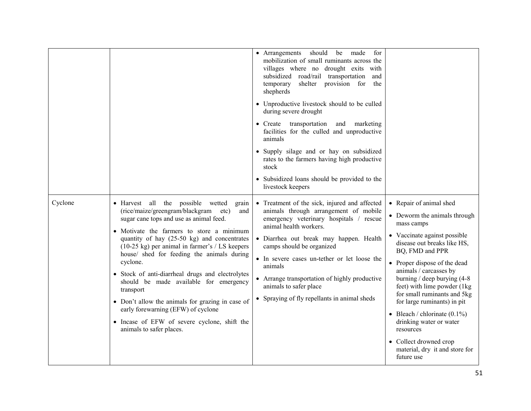|         |                                                                                                                                                                                                                                                                                                                                                                                                                                                                                                                                                                                                                                            | • Arrangements<br>should<br>made<br>for<br>be<br>mobilization of small ruminants across the<br>villages where no drought exits with<br>subsidized road/rail transportation<br>and<br>shelter provision for<br>temporary<br>the<br>shepherds<br>• Unproductive livestock should to be culled<br>during severe drought<br>• Create transportation<br>and marketing<br>facilities for the culled and unproductive<br>animals<br>• Supply silage and or hay on subsidized<br>rates to the farmers having high productive<br>stock<br>• Subsidized loans should be provided to the<br>livestock keepers |                                                                                                                                                                                                                                                                                                                                                                                                                                                                                                        |
|---------|--------------------------------------------------------------------------------------------------------------------------------------------------------------------------------------------------------------------------------------------------------------------------------------------------------------------------------------------------------------------------------------------------------------------------------------------------------------------------------------------------------------------------------------------------------------------------------------------------------------------------------------------|----------------------------------------------------------------------------------------------------------------------------------------------------------------------------------------------------------------------------------------------------------------------------------------------------------------------------------------------------------------------------------------------------------------------------------------------------------------------------------------------------------------------------------------------------------------------------------------------------|--------------------------------------------------------------------------------------------------------------------------------------------------------------------------------------------------------------------------------------------------------------------------------------------------------------------------------------------------------------------------------------------------------------------------------------------------------------------------------------------------------|
| Cyclone | • Harvest all the possible wetted<br>grain<br>(rice/maize/greengram/blackgram<br>etc)<br>and<br>sugar cane tops and use as animal feed.<br>• Motivate the farmers to store a minimum<br>quantity of hay $(25-50 \text{ kg})$ and concentrates<br>(10-25 kg) per animal in farmer's / LS keepers<br>house/ shed for feeding the animals during<br>cyclone.<br>· Stock of anti-diarrheal drugs and electrolytes<br>should be made available for emergency<br>transport<br>• Don't allow the animals for grazing in case of<br>early forewarning (EFW) of cyclone<br>• Incase of EFW of severe cyclone, shift the<br>animals to safer places. | • Treatment of the sick, injured and affected<br>animals through arrangement of mobile<br>emergency veterinary hospitals / rescue<br>animal health workers.<br>· Diarrhea out break may happen. Health<br>camps should be organized<br>• In severe cases un-tether or let loose the<br>animals<br>• Arrange transportation of highly productive<br>animals to safer place<br>• Spraying of fly repellants in animal sheds                                                                                                                                                                          | • Repair of animal shed<br>• Deworm the animals through<br>mass camps<br>• Vaccinate against possible<br>disease out breaks like HS,<br>BQ, FMD and PPR<br>• Proper dispose of the dead<br>animals / carcasses by<br>burning / deep burying $(4-8)$<br>feet) with lime powder (1kg)<br>for small ruminants and 5kg<br>for large ruminants) in pit<br>• Bleach / chlorinate $(0.1\%)$<br>drinking water or water<br>resources<br>• Collect drowned crop<br>material, dry it and store for<br>future use |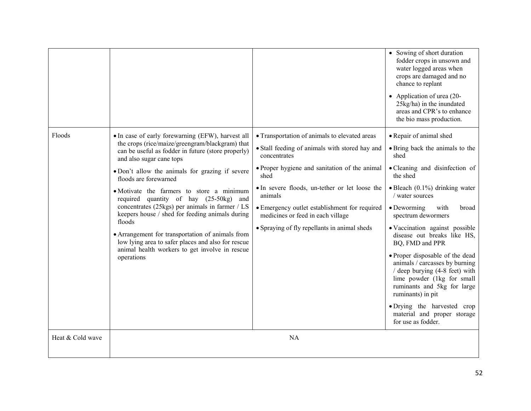|                  |                                                                                                                                                                                                                                                                                                                                                                                                                                                                                                                                                                                                                                                     |                                                                                                                                                                                                                                                                                                                                                                             | • Sowing of short duration<br>fodder crops in unsown and<br>water logged areas when<br>crops are damaged and no<br>chance to replant<br>• Application of urea $(20-$<br>25kg/ha) in the inundated<br>areas and CPR's to enhance<br>the bio mass production.                                                                                                                                                                                                                                                                                                                                                  |
|------------------|-----------------------------------------------------------------------------------------------------------------------------------------------------------------------------------------------------------------------------------------------------------------------------------------------------------------------------------------------------------------------------------------------------------------------------------------------------------------------------------------------------------------------------------------------------------------------------------------------------------------------------------------------------|-----------------------------------------------------------------------------------------------------------------------------------------------------------------------------------------------------------------------------------------------------------------------------------------------------------------------------------------------------------------------------|--------------------------------------------------------------------------------------------------------------------------------------------------------------------------------------------------------------------------------------------------------------------------------------------------------------------------------------------------------------------------------------------------------------------------------------------------------------------------------------------------------------------------------------------------------------------------------------------------------------|
| Floods           | • In case of early forewarning (EFW), harvest all<br>the crops (rice/maize/greengram/blackgram) that<br>can be useful as fodder in future (store properly)<br>and also sugar cane tops<br>• Don't allow the animals for grazing if severe<br>floods are forewarned<br>• Motivate the farmers to store a minimum<br>required quantity of hay (25-50kg) and<br>concentrates (25kgs) per animals in farmer / LS<br>keepers house / shed for feeding animals during<br>floods<br>• Arrangement for transportation of animals from<br>low lying area to safer places and also for rescue<br>animal health workers to get involve in rescue<br>operations | • Transportation of animals to elevated areas<br>• Stall feeding of animals with stored hay and<br>concentrates<br>• Proper hygiene and sanitation of the animal<br>shed<br>• In severe floods, un-tether or let loose the<br>animals<br>• Emergency outlet establishment for required<br>medicines or feed in each village<br>• Spraying of fly repellants in animal sheds | • Repair of animal shed<br>• Bring back the animals to the<br>shed<br>• Cleaning and disinfection of<br>the shed<br>$\bullet$ Bleach (0.1%) drinking water<br>/ water sources<br>$\bullet$ Deworming<br>with<br>broad<br>spectrum dewormers<br>• Vaccination against possible<br>disease out breaks like HS,<br>BQ, FMD and PPR<br>• Proper disposable of the dead<br>animals / carcasses by burning<br>/ deep burying (4-8 feet) with<br>lime powder (1kg for small<br>ruminants and 5kg for large<br>ruminants) in pit<br>· Drying the harvested crop<br>material and proper storage<br>for use as fodder. |
| Heat & Cold wave |                                                                                                                                                                                                                                                                                                                                                                                                                                                                                                                                                                                                                                                     | <b>NA</b>                                                                                                                                                                                                                                                                                                                                                                   |                                                                                                                                                                                                                                                                                                                                                                                                                                                                                                                                                                                                              |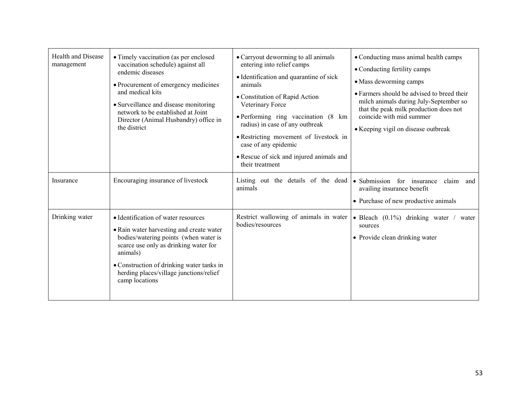| <b>Health and Disease</b><br>management | • Timely vaccination (as per enclosed<br>vaccination schedule) against all<br>endemic diseases<br>• Procurement of emergency medicines<br>and medical kits<br>• Surveillance and disease monitoring<br>network to be established at Joint<br>Director (Animal Husbandry) office in<br>the district | • Carryout deworming to all animals<br>entering into relief camps<br>• Identification and quarantine of sick<br>animals<br>• Constitution of Rapid Action<br>Veterinary Force<br>• Performing ring vaccination (8 km)<br>radius) in case of any outbreak<br>• Restricting movement of livestock in<br>case of any epidemic<br>• Rescue of sick and injured animals and<br>their treatment | • Conducting mass animal health camps<br>• Conducting fertility camps<br>• Mass deworming camps<br>• Farmers should be advised to breed their<br>milch animals during July-September so<br>that the peak milk production does not<br>coincide with mid summer<br>• Keeping vigil on disease outbreak |
|-----------------------------------------|----------------------------------------------------------------------------------------------------------------------------------------------------------------------------------------------------------------------------------------------------------------------------------------------------|-------------------------------------------------------------------------------------------------------------------------------------------------------------------------------------------------------------------------------------------------------------------------------------------------------------------------------------------------------------------------------------------|------------------------------------------------------------------------------------------------------------------------------------------------------------------------------------------------------------------------------------------------------------------------------------------------------|
| Insurance                               | Encouraging insurance of livestock                                                                                                                                                                                                                                                                 | Listing out the details of the dead<br>animals                                                                                                                                                                                                                                                                                                                                            | • Submission for insurance<br>claim and<br>availing insurance benefit<br>• Purchase of new productive animals                                                                                                                                                                                        |
| Drinking water                          | • Identification of water resources<br>• Rain water harvesting and create water<br>bodies/watering points (when water is<br>scarce use only as drinking water for<br>animals)<br>• Construction of drinking water tanks in<br>herding places/village junctions/relief<br>camp locations            | Restrict wallowing of animals in water<br>bodies/resources                                                                                                                                                                                                                                                                                                                                | • Bleach $(0.1\%)$ drinking water /<br>water<br>sources<br>• Provide clean drinking water                                                                                                                                                                                                            |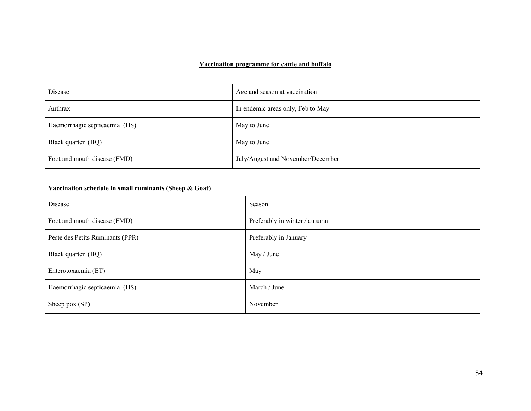### Vaccination programme for cattle and buffalo

| Disease                       | Age and season at vaccination     |
|-------------------------------|-----------------------------------|
| Anthrax                       | In endemic areas only, Feb to May |
| Haemorrhagic septicaemia (HS) | May to June                       |
| Black quarter (BQ)            | May to June                       |
| Foot and mouth disease (FMD)  | July/August and November/December |

# Vaccination schedule in small ruminants (Sheep & Goat)

| Disease                          | Season                        |
|----------------------------------|-------------------------------|
| Foot and mouth disease (FMD)     | Preferably in winter / autumn |
| Peste des Petits Ruminants (PPR) | Preferably in January         |
| Black quarter (BQ)               | May / June                    |
| Enterotoxaemia (ET)              | May                           |
| Haemorrhagic septicaemia (HS)    | March / June                  |
| Sheep pox (SP)                   | November                      |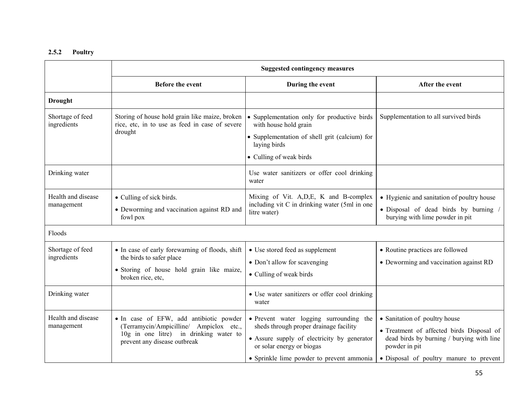## 2.5.2 Poultry

|                                  | <b>Suggested contingency measures</b>                                                                                                                        |                                                                                                                                                                                                            |                                                                                                                                                                                     |
|----------------------------------|--------------------------------------------------------------------------------------------------------------------------------------------------------------|------------------------------------------------------------------------------------------------------------------------------------------------------------------------------------------------------------|-------------------------------------------------------------------------------------------------------------------------------------------------------------------------------------|
|                                  | <b>Before the event</b>                                                                                                                                      | During the event                                                                                                                                                                                           | After the event                                                                                                                                                                     |
| <b>Drought</b>                   |                                                                                                                                                              |                                                                                                                                                                                                            |                                                                                                                                                                                     |
| Shortage of feed<br>ingredients  | Storing of house hold grain like maize, broken<br>rice, etc, in to use as feed in case of severe<br>drought                                                  | • Supplementation only for productive birds<br>with house hold grain<br>· Supplementation of shell grit (calcium) for<br>laying birds<br>• Culling of weak birds                                           | Supplementation to all survived birds                                                                                                                                               |
| Drinking water                   |                                                                                                                                                              | Use water sanitizers or offer cool drinking<br>water                                                                                                                                                       |                                                                                                                                                                                     |
| Health and disease<br>management | • Culling of sick birds.<br>• Deworming and vaccination against RD and<br>fowl pox                                                                           | Mixing of Vit. A, D, E, K and B-complex<br>including vit C in drinking water (5ml in one<br>litre water)                                                                                                   | • Hygienic and sanitation of poultry house<br>· Disposal of dead birds by burning /<br>burying with lime powder in pit                                                              |
| Floods                           |                                                                                                                                                              |                                                                                                                                                                                                            |                                                                                                                                                                                     |
| Shortage of feed<br>ingredients  | • In case of early forewarning of floods, shift<br>the birds to safer place<br>· Storing of house hold grain like maize,<br>broken rice, etc,                | • Use stored feed as supplement<br>• Don't allow for scavenging<br>• Culling of weak birds                                                                                                                 | • Routine practices are followed<br>• Deworming and vaccination against RD                                                                                                          |
| Drinking water                   |                                                                                                                                                              | • Use water sanitizers or offer cool drinking<br>water                                                                                                                                                     |                                                                                                                                                                                     |
| Health and disease<br>management | • In case of EFW, add antibiotic powder<br>(Terramycin/Ampicilline/ Ampiclox etc.,<br>10g in one litre) in drinking water to<br>prevent any disease outbreak | • Prevent water logging surrounding the<br>sheds through proper drainage facility<br>• Assure supply of electricity by generator<br>or solar energy or biogas<br>• Sprinkle lime powder to prevent ammonia | • Sanitation of poultry house<br>• Treatment of affected birds Disposal of<br>dead birds by burning / burying with line<br>powder in pit<br>• Disposal of poultry manure to prevent |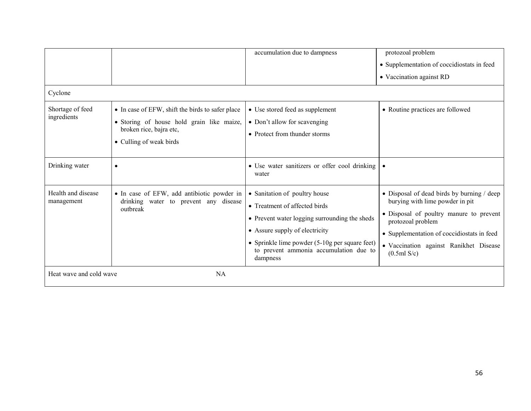|                                      |                                                                                                                                                     | accumulation due to dampness                                                                                                                                                                                                                                  | protozoal problem                                                                                                                                                                                                                                    |  |
|--------------------------------------|-----------------------------------------------------------------------------------------------------------------------------------------------------|---------------------------------------------------------------------------------------------------------------------------------------------------------------------------------------------------------------------------------------------------------------|------------------------------------------------------------------------------------------------------------------------------------------------------------------------------------------------------------------------------------------------------|--|
|                                      |                                                                                                                                                     |                                                                                                                                                                                                                                                               | • Supplementation of coccidiostats in feed                                                                                                                                                                                                           |  |
|                                      |                                                                                                                                                     |                                                                                                                                                                                                                                                               | • Vaccination against RD                                                                                                                                                                                                                             |  |
| Cyclone                              |                                                                                                                                                     |                                                                                                                                                                                                                                                               |                                                                                                                                                                                                                                                      |  |
| Shortage of feed<br>ingredients      | • In case of EFW, shift the birds to safer place<br>• Storing of house hold grain like maize,<br>broken rice, bajra etc,<br>• Culling of weak birds | • Use stored feed as supplement<br>• Don't allow for scavenging<br>• Protect from thunder storms                                                                                                                                                              | • Routine practices are followed                                                                                                                                                                                                                     |  |
| Drinking water                       | $\bullet$                                                                                                                                           | • Use water sanitizers or offer cool drinking<br>water                                                                                                                                                                                                        |                                                                                                                                                                                                                                                      |  |
| Health and disease<br>management     | • In case of EFW, add antibiotic powder in<br>drinking water to prevent any disease<br>outbreak                                                     | • Sanitation of poultry house<br>• Treatment of affected birds<br>• Prevent water logging surrounding the sheds<br>• Assure supply of electricity<br>• Sprinkle lime powder $(5-10)$ g per square feet)<br>to prevent ammonia accumulation due to<br>dampness | • Disposal of dead birds by burning / deep<br>burying with lime powder in pit<br>• Disposal of poultry manure to prevent<br>protozoal problem<br>• Supplementation of coccidiostats in feed<br>· Vaccination against Ranikhet Disease<br>(0.5ml S/c) |  |
| Heat wave and cold wave<br><b>NA</b> |                                                                                                                                                     |                                                                                                                                                                                                                                                               |                                                                                                                                                                                                                                                      |  |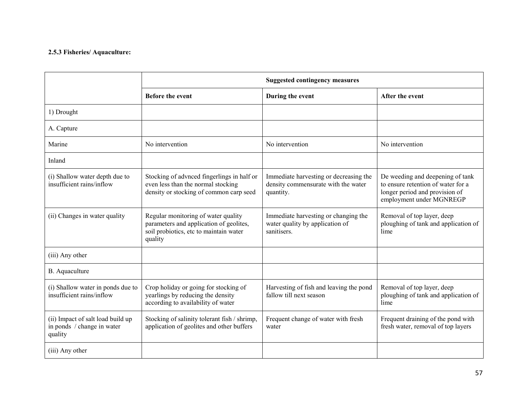## 2.5.3 Fisheries/ Aquaculture:

|                                                                            | <b>Suggested contingency measures</b>                                                                                               |                                                                                            |                                                                                                                                      |
|----------------------------------------------------------------------------|-------------------------------------------------------------------------------------------------------------------------------------|--------------------------------------------------------------------------------------------|--------------------------------------------------------------------------------------------------------------------------------------|
|                                                                            | <b>Before the event</b>                                                                                                             | During the event                                                                           | After the event                                                                                                                      |
| 1) Drought                                                                 |                                                                                                                                     |                                                                                            |                                                                                                                                      |
| A. Capture                                                                 |                                                                                                                                     |                                                                                            |                                                                                                                                      |
| Marine                                                                     | No intervention                                                                                                                     | No intervention                                                                            | No intervention                                                                                                                      |
| Inland                                                                     |                                                                                                                                     |                                                                                            |                                                                                                                                      |
| (i) Shallow water depth due to<br>insufficient rains/inflow                | Stocking of advnced fingerlings in half or<br>even less than the normal stocking<br>density or stocking of common carp seed         | Immediate harvesting or decreasing the<br>density commensurate with the water<br>quantity. | De weeding and deepening of tank<br>to ensure retention of water for a<br>longer period and provision of<br>employment under MGNREGP |
| (ii) Changes in water quality                                              | Regular monitoring of water quality<br>parameters and application of geolites,<br>soil probiotics, etc to maintain water<br>quality | Immediate harvesting or changing the<br>water quality by application of<br>sanitisers.     | Removal of top layer, deep<br>ploughing of tank and application of<br>lime                                                           |
| (iii) Any other                                                            |                                                                                                                                     |                                                                                            |                                                                                                                                      |
| B. Aquaculture                                                             |                                                                                                                                     |                                                                                            |                                                                                                                                      |
| (i) Shallow water in ponds due to<br>insufficient rains/inflow             | Crop holiday or going for stocking of<br>yearlings by reducing the density<br>according to availability of water                    | Harvesting of fish and leaving the pond<br>fallow till next season                         | Removal of top layer, deep<br>ploughing of tank and application of<br>lime                                                           |
| (ii) Impact of salt load build up<br>in ponds / change in water<br>quality | Stocking of salinity tolerant fish / shrimp,<br>application of geolites and other buffers                                           | Frequent change of water with fresh<br>water                                               | Frequent draining of the pond with<br>fresh water, removal of top layers                                                             |
| (iii) Any other                                                            |                                                                                                                                     |                                                                                            |                                                                                                                                      |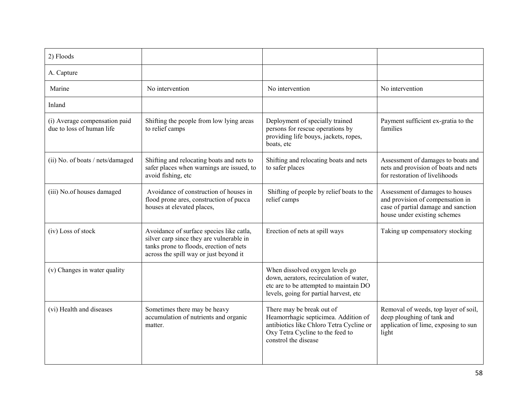| 2) Floods                                                  |                                                                                                                                                                           |                                                                                                                                                                           |                                                                                                                                            |
|------------------------------------------------------------|---------------------------------------------------------------------------------------------------------------------------------------------------------------------------|---------------------------------------------------------------------------------------------------------------------------------------------------------------------------|--------------------------------------------------------------------------------------------------------------------------------------------|
| A. Capture                                                 |                                                                                                                                                                           |                                                                                                                                                                           |                                                                                                                                            |
| Marine                                                     | No intervention                                                                                                                                                           | No intervention                                                                                                                                                           | No intervention                                                                                                                            |
| Inland                                                     |                                                                                                                                                                           |                                                                                                                                                                           |                                                                                                                                            |
| (i) Average compensation paid<br>due to loss of human life | Shifting the people from low lying areas<br>to relief camps                                                                                                               | Deployment of specially trained<br>persons for rescue operations by<br>providing life bouys, jackets, ropes,<br>boats, etc                                                | Payment sufficient ex-gratia to the<br>families                                                                                            |
| (ii) No. of boats / nets/damaged                           | Shifting and relocating boats and nets to<br>safer places when warnings are issued, to<br>avoid fishing, etc                                                              | Shifting and relocating boats and nets<br>to safer places                                                                                                                 | Assessment of damages to boats and<br>nets and provision of boats and nets<br>for restoration of livelihoods                               |
| (iii) No.of houses damaged                                 | Avoidance of construction of houses in<br>flood prone ares, construction of pucca<br>houses at elevated places,                                                           | Shifting of people by relief boats to the<br>relief camps                                                                                                                 | Assessment of damages to houses<br>and provision of compensation in<br>case of partial damage and sanction<br>house under existing schemes |
| (iv) Loss of stock                                         | Avoidance of surface species like catla,<br>silver carp since they are vulnerable in<br>tanks prone to floods, erection of nets<br>across the spill way or just beyond it | Erection of nets at spill ways                                                                                                                                            | Taking up compensatory stocking                                                                                                            |
| (v) Changes in water quality                               |                                                                                                                                                                           | When dissolved oxygen levels go<br>down, aerators, recirculation of water,<br>etc are to be attempted to maintain DO<br>levels, going for partial harvest, etc            |                                                                                                                                            |
| (vi) Health and diseases                                   | Sometimes there may be heavy<br>accumulation of nutrients and organic<br>matter.                                                                                          | There may be break out of<br>Heamorrhagic septicimea. Addition of<br>antibiotics like Chloro Tetra Cycline or<br>Oxy Tetra Cycline to the feed to<br>constrol the disease | Removal of weeds, top layer of soil,<br>deep ploughing of tank and<br>application of lime, exposing to sun<br>light                        |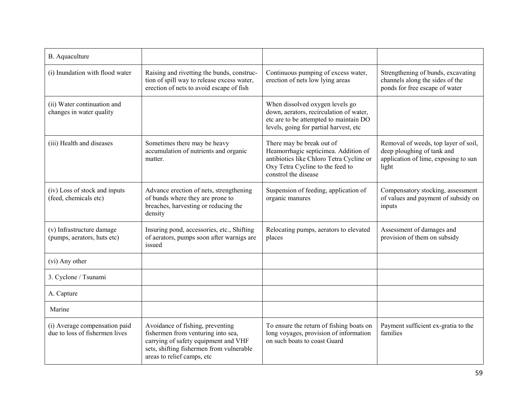| B. Aquaculture                                                  |                                                                                                                                                                                          |                                                                                                                                                                           |                                                                                                                     |
|-----------------------------------------------------------------|------------------------------------------------------------------------------------------------------------------------------------------------------------------------------------------|---------------------------------------------------------------------------------------------------------------------------------------------------------------------------|---------------------------------------------------------------------------------------------------------------------|
| (i) Inundation with flood water                                 | Raising and rivetting the bunds, construc-<br>tion of spill way to release excess water,<br>erection of nets to avoid escape of fish                                                     | Continuous pumping of excess water,<br>erection of nets low lying areas                                                                                                   | Strengthening of bunds, excavating<br>channels along the sides of the<br>ponds for free escape of water             |
| (ii) Water continuation and<br>changes in water quality         |                                                                                                                                                                                          | When dissolved oxygen levels go<br>down, aerators, recirculation of water,<br>etc are to be attempted to maintain DO<br>levels, going for partial harvest, etc            |                                                                                                                     |
| (iii) Health and diseases                                       | Sometimes there may be heavy<br>accumulation of nutrients and organic<br>matter.                                                                                                         | There may be break out of<br>Heamorrhagic septicimea. Addition of<br>antibiotics like Chloro Tetra Cycline or<br>Oxy Tetra Cycline to the feed to<br>constrol the disease | Removal of weeds, top layer of soil,<br>deep ploughing of tank and<br>application of lime, exposing to sun<br>light |
| (iv) Loss of stock and inputs<br>(feed, chemicals etc)          | Advance erection of nets, strengthening<br>of bunds where they are prone to<br>breaches, harvesting or reducing the<br>density                                                           | Suspension of feeding, application of<br>organic manures                                                                                                                  | Compensatory stocking, assessment<br>of values and payment of subsidy on<br>inputs                                  |
| (v) Infrastructure damage<br>(pumps, aerators, huts etc)        | Insuring pond, accessories, etc., Shifting<br>of aerators, pumps soon after warnigs are<br>issued                                                                                        | Relocating pumps, aerators to elevated<br>places                                                                                                                          | Assessment of damages and<br>provision of them on subsidy                                                           |
| (vi) Any other                                                  |                                                                                                                                                                                          |                                                                                                                                                                           |                                                                                                                     |
| 3. Cyclone / Tsunami                                            |                                                                                                                                                                                          |                                                                                                                                                                           |                                                                                                                     |
| A. Capture                                                      |                                                                                                                                                                                          |                                                                                                                                                                           |                                                                                                                     |
| Marine                                                          |                                                                                                                                                                                          |                                                                                                                                                                           |                                                                                                                     |
| (i) Average compensation paid<br>due to loss of fishermen lives | Avoidance of fishing, preventing<br>fishermen from venturing into sea,<br>carrying of safety equipment and VHF<br>sets, shifting fishermen from vulnerable<br>areas to relief camps, etc | To ensure the return of fishing boats on<br>long voyages, provision of information<br>on such boats to coast Guard                                                        | Payment sufficient ex-gratia to the<br>families                                                                     |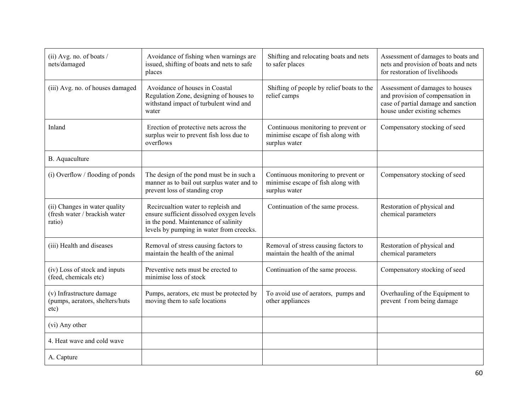| (ii) Avg. no. of boats /<br>nets/damaged                                 | Avoidance of fishing when warnings are<br>issued, shifting of boats and nets to safe<br>places                                                                       | Shifting and relocating boats and nets<br>to safer places                                  | Assessment of damages to boats and<br>nets and provision of boats and nets<br>for restoration of livelihoods                               |
|--------------------------------------------------------------------------|----------------------------------------------------------------------------------------------------------------------------------------------------------------------|--------------------------------------------------------------------------------------------|--------------------------------------------------------------------------------------------------------------------------------------------|
| (iii) Avg. no. of houses damaged                                         | Avoidance of houses in Coastal<br>Regulation Zone, designing of houses to<br>withstand impact of turbulent wind and<br>water                                         | Shifting of people by relief boats to the<br>relief camps                                  | Assessment of damages to houses<br>and provision of compensation in<br>case of partial damage and sanction<br>house under existing schemes |
| Inland                                                                   | Erection of protective nets across the<br>surplus weir to prevent fish loss due to<br>overflows                                                                      | Continuous monitoring to prevent or<br>minimise escape of fish along with<br>surplus water | Compensatory stocking of seed                                                                                                              |
| B. Aquaculture                                                           |                                                                                                                                                                      |                                                                                            |                                                                                                                                            |
| (i) Overflow / flooding of ponds                                         | The design of the pond must be in such a<br>manner as to bail out surplus water and to<br>prevent loss of standing crop                                              | Continuous monitoring to prevent or<br>minimise escape of fish along with<br>surplus water | Compensatory stocking of seed                                                                                                              |
| (ii) Changes in water quality<br>(fresh water / brackish water<br>ratio) | Recircualtion water to repleish and<br>ensure sufficient dissolved oxygen levels<br>in the pond. Maintenance of salinity<br>levels by pumping in water from creecks. | Continuation of the same process.                                                          | Restoration of physical and<br>chemical parameters                                                                                         |
| (iii) Health and diseases                                                | Removal of stress causing factors to<br>maintain the health of the animal                                                                                            | Removal of stress causing factors to<br>maintain the health of the animal                  | Restoration of physical and<br>chemical parameters                                                                                         |
| (iv) Loss of stock and inputs<br>(feed, chemicals etc)                   | Preventive nets must be erected to<br>minimise loss of stock                                                                                                         | Continuation of the same process.                                                          | Compensatory stocking of seed                                                                                                              |
| (v) Infrastructure damage<br>(pumps, aerators, shelters/huts<br>etc)     | Pumps, aerators, etc must be protected by<br>moving them to safe locations                                                                                           | To avoid use of aerators, pumps and<br>other appliances                                    | Overhauling of the Equipment to<br>prevent from being damage                                                                               |
| (vi) Any other                                                           |                                                                                                                                                                      |                                                                                            |                                                                                                                                            |
| 4. Heat wave and cold wave                                               |                                                                                                                                                                      |                                                                                            |                                                                                                                                            |
| A. Capture                                                               |                                                                                                                                                                      |                                                                                            |                                                                                                                                            |